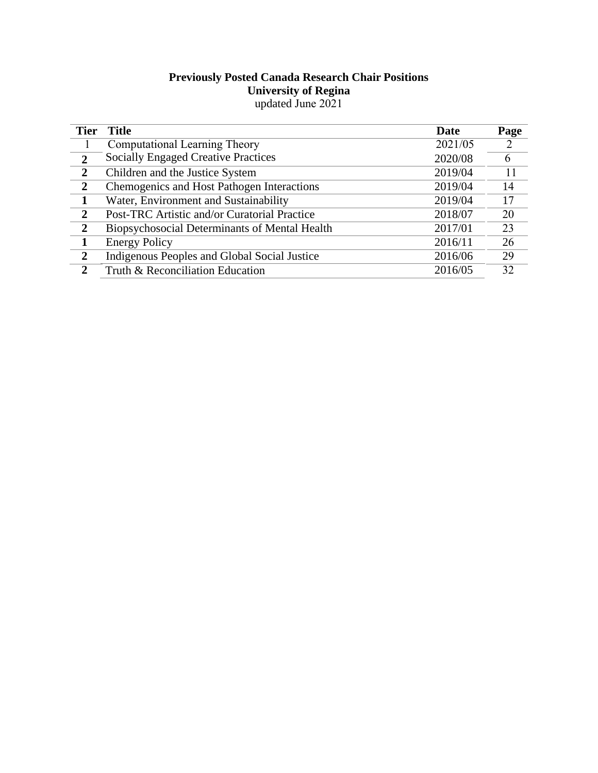### **Previously Posted Canada Research Chair Positions University of Regina**  updated June 2021

| <b>Tier</b>    | <b>Title</b>                                  | <b>Date</b> | Page |
|----------------|-----------------------------------------------|-------------|------|
|                | Computational Learning Theory                 | 2021/05     | 2    |
| $\overline{2}$ | <b>Socially Engaged Creative Practices</b>    | 2020/08     | 6    |
| $\overline{2}$ | Children and the Justice System               | 2019/04     | 11   |
| $\overline{2}$ | Chemogenics and Host Pathogen Interactions    | 2019/04     | 14   |
| $\mathbf{1}$   | Water, Environment and Sustainability         | 2019/04     | 17   |
| $\overline{2}$ | Post-TRC Artistic and/or Curatorial Practice  | 2018/07     | 20   |
| $\overline{2}$ | Biopsychosocial Determinants of Mental Health | 2017/01     | 23   |
|                | <b>Energy Policy</b>                          | 2016/11     | 26   |
| $\overline{2}$ | Indigenous Peoples and Global Social Justice  | 2016/06     | 29   |
| 2              | Truth & Reconciliation Education              | 2016/05     | 32   |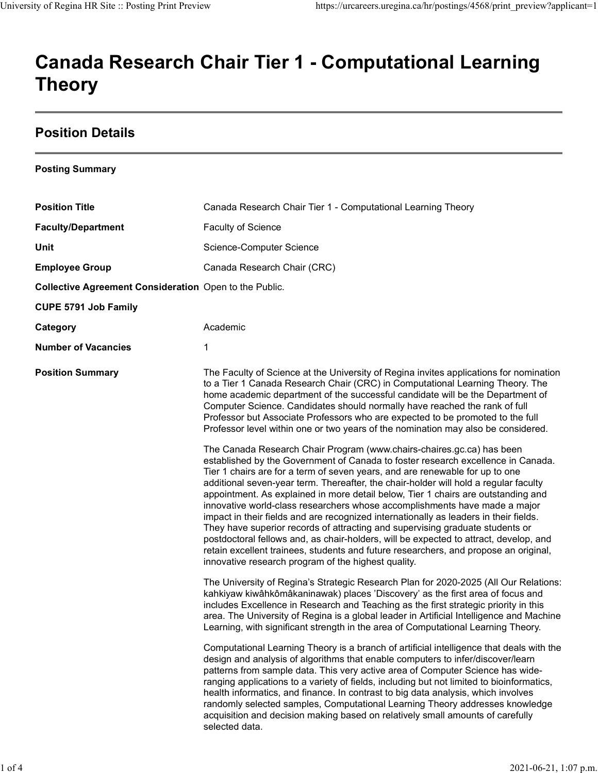# Canada Research Chair Tier 1 - Computational Learning Theory University of Regina HR Site :: Posting Print Preview https://urcareers.uregina.ca/hr/postings/4568/print\_preview?applicant=1<br>Canada Research Chair Tier 1 - Computational Learning

## Position Details

| <b>Position Title</b><br>Canada Research Chair Tier 1 - Computational Learning Theory<br><b>Faculty/Department</b><br>Faculty of Science<br>Unit<br>Science-Computer Science<br><b>Employee Group</b><br>Canada Research Chair (CRC)<br>Collective Agreement Consideration Open to the Public.<br><b>CUPE 5791 Job Family</b><br>Academic<br>Category<br><b>Number of Vacancies</b><br>1<br><b>Position Summary</b><br>The Faculty of Science at the University of Regina invites applications for nomination<br>to a Tier 1 Canada Research Chair (CRC) in Computational Learning Theory. The<br>home academic department of the successful candidate will be the Department of<br>Computer Science. Candidates should normally have reached the rank of full<br>Professor but Associate Professors who are expected to be promoted to the full<br>Professor level within one or two years of the nomination may also be considered.<br>The Canada Research Chair Program (www.chairs-chaires.gc.ca) has been<br>established by the Government of Canada to foster research excellence in Canada.<br>Tier 1 chairs are for a term of seven years, and are renewable for up to one<br>additional seven-year term. Thereafter, the chair-holder will hold a regular faculty<br>appointment. As explained in more detail below, Tier 1 chairs are outstanding and<br>innovative world-class researchers whose accomplishments have made a major<br>impact in their fields and are recognized internationally as leaders in their fields.<br>They have superior records of attracting and supervising graduate students or<br>postdoctoral fellows and, as chair-holders, will be expected to attract, develop, and<br>retain excellent trainees, students and future researchers, and propose an original,<br>innovative research program of the highest quality.<br>The University of Regina's Strategic Research Plan for 2020-2025 (All Our Relations:<br>kahkiyaw kiwâhkômâkaninawak) places 'Discovery' as the first area of focus and<br>includes Excellence in Research and Teaching as the first strategic priority in this<br>area. The University of Regina is a global leader in Artificial Intelligence and Machine<br>Learning, with significant strength in the area of Computational Learning Theory.<br>Computational Learning Theory is a branch of artificial intelligence that deals with the<br>design and analysis of algorithms that enable computers to infer/discover/learn<br>patterns from sample data. This very active area of Computer Science has wide-<br>ranging applications to a variety of fields, including but not limited to bioinformatics,<br>health informatics, and finance. In contrast to big data analysis, which involves<br>randomly selected samples, Computational Learning Theory addresses knowledge | <b>Posting Summary</b> |                                                                                |
|-------------------------------------------------------------------------------------------------------------------------------------------------------------------------------------------------------------------------------------------------------------------------------------------------------------------------------------------------------------------------------------------------------------------------------------------------------------------------------------------------------------------------------------------------------------------------------------------------------------------------------------------------------------------------------------------------------------------------------------------------------------------------------------------------------------------------------------------------------------------------------------------------------------------------------------------------------------------------------------------------------------------------------------------------------------------------------------------------------------------------------------------------------------------------------------------------------------------------------------------------------------------------------------------------------------------------------------------------------------------------------------------------------------------------------------------------------------------------------------------------------------------------------------------------------------------------------------------------------------------------------------------------------------------------------------------------------------------------------------------------------------------------------------------------------------------------------------------------------------------------------------------------------------------------------------------------------------------------------------------------------------------------------------------------------------------------------------------------------------------------------------------------------------------------------------------------------------------------------------------------------------------------------------------------------------------------------------------------------------------------------------------------------------------------------------------------------------------------------------------------------------------------------------------------------------------------------------------------------------------------------------------------------------------------------------------------------------------------------------------------------------------------------------------------------------------------------------------------------|------------------------|--------------------------------------------------------------------------------|
|                                                                                                                                                                                                                                                                                                                                                                                                                                                                                                                                                                                                                                                                                                                                                                                                                                                                                                                                                                                                                                                                                                                                                                                                                                                                                                                                                                                                                                                                                                                                                                                                                                                                                                                                                                                                                                                                                                                                                                                                                                                                                                                                                                                                                                                                                                                                                                                                                                                                                                                                                                                                                                                                                                                                                                                                                                                       |                        |                                                                                |
|                                                                                                                                                                                                                                                                                                                                                                                                                                                                                                                                                                                                                                                                                                                                                                                                                                                                                                                                                                                                                                                                                                                                                                                                                                                                                                                                                                                                                                                                                                                                                                                                                                                                                                                                                                                                                                                                                                                                                                                                                                                                                                                                                                                                                                                                                                                                                                                                                                                                                                                                                                                                                                                                                                                                                                                                                                                       |                        |                                                                                |
|                                                                                                                                                                                                                                                                                                                                                                                                                                                                                                                                                                                                                                                                                                                                                                                                                                                                                                                                                                                                                                                                                                                                                                                                                                                                                                                                                                                                                                                                                                                                                                                                                                                                                                                                                                                                                                                                                                                                                                                                                                                                                                                                                                                                                                                                                                                                                                                                                                                                                                                                                                                                                                                                                                                                                                                                                                                       |                        |                                                                                |
|                                                                                                                                                                                                                                                                                                                                                                                                                                                                                                                                                                                                                                                                                                                                                                                                                                                                                                                                                                                                                                                                                                                                                                                                                                                                                                                                                                                                                                                                                                                                                                                                                                                                                                                                                                                                                                                                                                                                                                                                                                                                                                                                                                                                                                                                                                                                                                                                                                                                                                                                                                                                                                                                                                                                                                                                                                                       |                        |                                                                                |
|                                                                                                                                                                                                                                                                                                                                                                                                                                                                                                                                                                                                                                                                                                                                                                                                                                                                                                                                                                                                                                                                                                                                                                                                                                                                                                                                                                                                                                                                                                                                                                                                                                                                                                                                                                                                                                                                                                                                                                                                                                                                                                                                                                                                                                                                                                                                                                                                                                                                                                                                                                                                                                                                                                                                                                                                                                                       |                        |                                                                                |
|                                                                                                                                                                                                                                                                                                                                                                                                                                                                                                                                                                                                                                                                                                                                                                                                                                                                                                                                                                                                                                                                                                                                                                                                                                                                                                                                                                                                                                                                                                                                                                                                                                                                                                                                                                                                                                                                                                                                                                                                                                                                                                                                                                                                                                                                                                                                                                                                                                                                                                                                                                                                                                                                                                                                                                                                                                                       |                        |                                                                                |
|                                                                                                                                                                                                                                                                                                                                                                                                                                                                                                                                                                                                                                                                                                                                                                                                                                                                                                                                                                                                                                                                                                                                                                                                                                                                                                                                                                                                                                                                                                                                                                                                                                                                                                                                                                                                                                                                                                                                                                                                                                                                                                                                                                                                                                                                                                                                                                                                                                                                                                                                                                                                                                                                                                                                                                                                                                                       |                        |                                                                                |
|                                                                                                                                                                                                                                                                                                                                                                                                                                                                                                                                                                                                                                                                                                                                                                                                                                                                                                                                                                                                                                                                                                                                                                                                                                                                                                                                                                                                                                                                                                                                                                                                                                                                                                                                                                                                                                                                                                                                                                                                                                                                                                                                                                                                                                                                                                                                                                                                                                                                                                                                                                                                                                                                                                                                                                                                                                                       |                        |                                                                                |
| selected data.                                                                                                                                                                                                                                                                                                                                                                                                                                                                                                                                                                                                                                                                                                                                                                                                                                                                                                                                                                                                                                                                                                                                                                                                                                                                                                                                                                                                                                                                                                                                                                                                                                                                                                                                                                                                                                                                                                                                                                                                                                                                                                                                                                                                                                                                                                                                                                                                                                                                                                                                                                                                                                                                                                                                                                                                                                        |                        | acquisition and decision making based on relatively small amounts of carefully |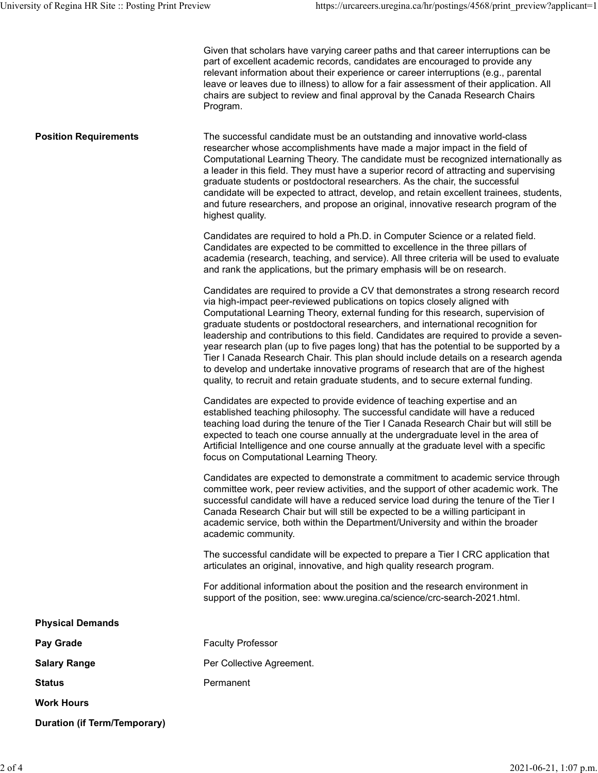| University of Regina HR Site :: Posting Print Preview | https://urcareers.uregina.ca/hr/postings/4568/print preview?applicant=1                                                                                                                                                                                                                                                                                                                                                                                                                                                                                                                                                                                                                                                                                                                       |
|-------------------------------------------------------|-----------------------------------------------------------------------------------------------------------------------------------------------------------------------------------------------------------------------------------------------------------------------------------------------------------------------------------------------------------------------------------------------------------------------------------------------------------------------------------------------------------------------------------------------------------------------------------------------------------------------------------------------------------------------------------------------------------------------------------------------------------------------------------------------|
|                                                       | Given that scholars have varying career paths and that career interruptions can be<br>part of excellent academic records, candidates are encouraged to provide any<br>relevant information about their experience or career interruptions (e.g., parental<br>leave or leaves due to illness) to allow for a fair assessment of their application. All<br>chairs are subject to review and final approval by the Canada Research Chairs<br>Program.                                                                                                                                                                                                                                                                                                                                            |
| <b>Position Requirements</b>                          | The successful candidate must be an outstanding and innovative world-class<br>researcher whose accomplishments have made a major impact in the field of<br>Computational Learning Theory. The candidate must be recognized internationally as<br>a leader in this field. They must have a superior record of attracting and supervising<br>graduate students or postdoctoral researchers. As the chair, the successful<br>candidate will be expected to attract, develop, and retain excellent trainees, students,<br>and future researchers, and propose an original, innovative research program of the<br>highest quality.                                                                                                                                                                 |
|                                                       | Candidates are required to hold a Ph.D. in Computer Science or a related field.<br>Candidates are expected to be committed to excellence in the three pillars of<br>academia (research, teaching, and service). All three criteria will be used to evaluate<br>and rank the applications, but the primary emphasis will be on research.                                                                                                                                                                                                                                                                                                                                                                                                                                                       |
|                                                       | Candidates are required to provide a CV that demonstrates a strong research record<br>via high-impact peer-reviewed publications on topics closely aligned with<br>Computational Learning Theory, external funding for this research, supervision of<br>graduate students or postdoctoral researchers, and international recognition for<br>leadership and contributions to this field. Candidates are required to provide a seven-<br>year research plan (up to five pages long) that has the potential to be supported by a<br>Tier I Canada Research Chair. This plan should include details on a research agenda<br>to develop and undertake innovative programs of research that are of the highest<br>quality, to recruit and retain graduate students, and to secure external funding. |
|                                                       | Candidates are expected to provide evidence of teaching expertise and an<br>established teaching philosophy. The successful candidate will have a reduced<br>teaching load during the tenure of the Tier I Canada Research Chair but will still be<br>expected to teach one course annually at the undergraduate level in the area of<br>Artificial Intelligence and one course annually at the graduate level with a specific<br>focus on Computational Learning Theory.                                                                                                                                                                                                                                                                                                                     |
|                                                       | Candidates are expected to demonstrate a commitment to academic service through<br>committee work, peer review activities, and the support of other academic work. The<br>successful candidate will have a reduced service load during the tenure of the Tier I<br>Canada Research Chair but will still be expected to be a willing participant in<br>academic service, both within the Department/University and within the broader<br>academic community.                                                                                                                                                                                                                                                                                                                                   |
|                                                       | The successful candidate will be expected to prepare a Tier I CRC application that<br>articulates an original, innovative, and high quality research program.                                                                                                                                                                                                                                                                                                                                                                                                                                                                                                                                                                                                                                 |
|                                                       | For additional information about the position and the research environment in<br>support of the position, see: www.uregina.ca/science/crc-search-2021.html.                                                                                                                                                                                                                                                                                                                                                                                                                                                                                                                                                                                                                                   |
| <b>Physical Demands</b>                               |                                                                                                                                                                                                                                                                                                                                                                                                                                                                                                                                                                                                                                                                                                                                                                                               |
| Pay Grade                                             | <b>Faculty Professor</b>                                                                                                                                                                                                                                                                                                                                                                                                                                                                                                                                                                                                                                                                                                                                                                      |
| <b>Salary Range</b>                                   | Per Collective Agreement.                                                                                                                                                                                                                                                                                                                                                                                                                                                                                                                                                                                                                                                                                                                                                                     |
| <b>Status</b>                                         | Permanent                                                                                                                                                                                                                                                                                                                                                                                                                                                                                                                                                                                                                                                                                                                                                                                     |
| <b>Work Hours</b>                                     |                                                                                                                                                                                                                                                                                                                                                                                                                                                                                                                                                                                                                                                                                                                                                                                               |
| <b>Duration (if Term/Temporary)</b>                   |                                                                                                                                                                                                                                                                                                                                                                                                                                                                                                                                                                                                                                                                                                                                                                                               |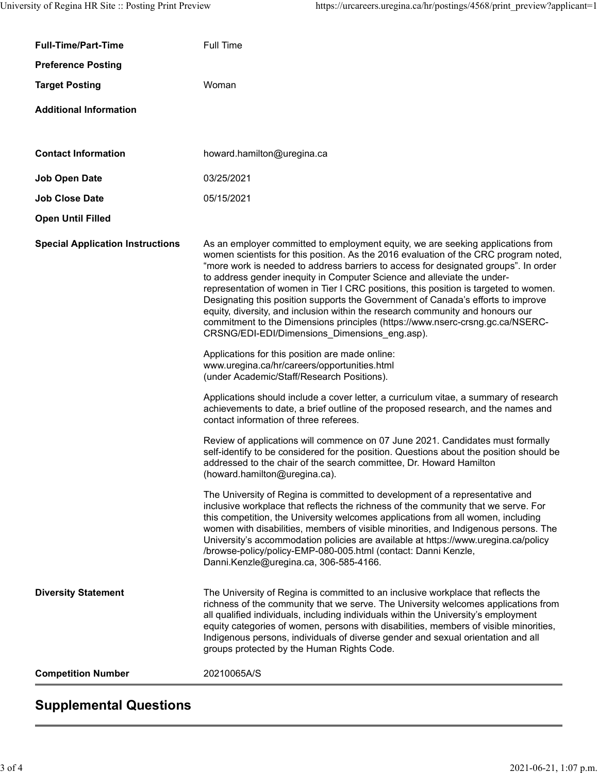| University of Regina HR Site :: Posting Print Preview | https://urcareers.uregina.ca/hr/postings/4568/print preview?applicant=1                                                                                                                                                                                                                                                                                                                                                                                                                                                                                                                                                                                                                                                                   |
|-------------------------------------------------------|-------------------------------------------------------------------------------------------------------------------------------------------------------------------------------------------------------------------------------------------------------------------------------------------------------------------------------------------------------------------------------------------------------------------------------------------------------------------------------------------------------------------------------------------------------------------------------------------------------------------------------------------------------------------------------------------------------------------------------------------|
| <b>Full-Time/Part-Time</b>                            | Full Time                                                                                                                                                                                                                                                                                                                                                                                                                                                                                                                                                                                                                                                                                                                                 |
| <b>Preference Posting</b>                             |                                                                                                                                                                                                                                                                                                                                                                                                                                                                                                                                                                                                                                                                                                                                           |
| <b>Target Posting</b>                                 | Woman                                                                                                                                                                                                                                                                                                                                                                                                                                                                                                                                                                                                                                                                                                                                     |
| <b>Additional Information</b>                         |                                                                                                                                                                                                                                                                                                                                                                                                                                                                                                                                                                                                                                                                                                                                           |
|                                                       |                                                                                                                                                                                                                                                                                                                                                                                                                                                                                                                                                                                                                                                                                                                                           |
| <b>Contact Information</b>                            | howard.hamilton@uregina.ca                                                                                                                                                                                                                                                                                                                                                                                                                                                                                                                                                                                                                                                                                                                |
| <b>Job Open Date</b>                                  | 03/25/2021                                                                                                                                                                                                                                                                                                                                                                                                                                                                                                                                                                                                                                                                                                                                |
| <b>Job Close Date</b>                                 | 05/15/2021                                                                                                                                                                                                                                                                                                                                                                                                                                                                                                                                                                                                                                                                                                                                |
| <b>Open Until Filled</b>                              |                                                                                                                                                                                                                                                                                                                                                                                                                                                                                                                                                                                                                                                                                                                                           |
| <b>Special Application Instructions</b>               | As an employer committed to employment equity, we are seeking applications from<br>women scientists for this position. As the 2016 evaluation of the CRC program noted,<br>"more work is needed to address barriers to access for designated groups". In order<br>to address gender inequity in Computer Science and alleviate the under-<br>representation of women in Tier I CRC positions, this position is targeted to women.<br>Designating this position supports the Government of Canada's efforts to improve<br>equity, diversity, and inclusion within the research community and honours our<br>commitment to the Dimensions principles (https://www.nserc-crsng.gc.ca/NSERC-<br>CRSNG/EDI-EDI/Dimensions_Dimensions_eng.asp). |
|                                                       | Applications for this position are made online:<br>www.uregina.ca/hr/careers/opportunities.html<br>(under Academic/Staff/Research Positions).                                                                                                                                                                                                                                                                                                                                                                                                                                                                                                                                                                                             |
|                                                       | Applications should include a cover letter, a curriculum vitae, a summary of research<br>achievements to date, a brief outline of the proposed research, and the names and<br>contact information of three referees.                                                                                                                                                                                                                                                                                                                                                                                                                                                                                                                      |
|                                                       | Review of applications will commence on 07 June 2021. Candidates must formally<br>self-identify to be considered for the position. Questions about the position should be<br>addressed to the chair of the search committee, Dr. Howard Hamilton<br>(howard.hamilton@uregina.ca).                                                                                                                                                                                                                                                                                                                                                                                                                                                         |
|                                                       | The University of Regina is committed to development of a representative and<br>inclusive workplace that reflects the richness of the community that we serve. For<br>this competition, the University welcomes applications from all women, including<br>women with disabilities, members of visible minorities, and Indigenous persons. The<br>University's accommodation policies are available at https://www.uregina.ca/policy<br>/browse-policy/policy-EMP-080-005.html (contact: Danni Kenzle,<br>Danni.Kenzle@uregina.ca, 306-585-4166.                                                                                                                                                                                           |
| <b>Diversity Statement</b>                            | The University of Regina is committed to an inclusive workplace that reflects the<br>richness of the community that we serve. The University welcomes applications from<br>all qualified individuals, including individuals within the University's employment<br>equity categories of women, persons with disabilities, members of visible minorities,<br>Indigenous persons, individuals of diverse gender and sexual orientation and all<br>groups protected by the Human Rights Code.                                                                                                                                                                                                                                                 |
| <b>Competition Number</b>                             | 20210065A/S                                                                                                                                                                                                                                                                                                                                                                                                                                                                                                                                                                                                                                                                                                                               |
|                                                       |                                                                                                                                                                                                                                                                                                                                                                                                                                                                                                                                                                                                                                                                                                                                           |

## Supplemental Questions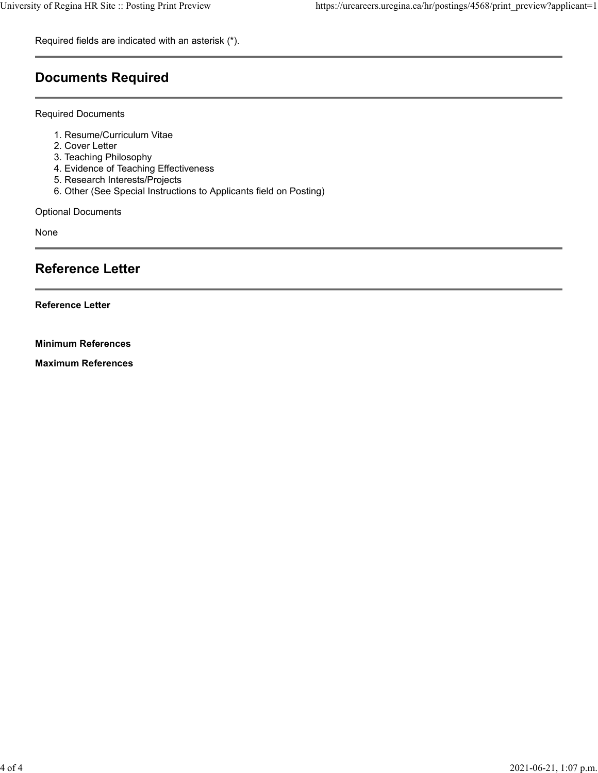Required fields are indicated with an asterisk (\*).

## Documents Required

Required Documents

- 
- 
- 
- 
- 
- Regina HR Site :: Posting Print Preview<br>
https://urcareers.u<br>
uired fields are indicated with an asterisk (\*).<br> **Curriculum Vitae<br>
A. Resume/Curriculum Vitae<br>
2. Cover Letter<br>
2. Teaching Philosophy<br>
4. Evidence of Teachin** Regina HR Site :: Posting Print Preview<br>
Interval in Market Huss://urcareers.t<br>
Lived fields are indicated with an asterisk (\*).<br>
<br> **Currents Required**<br>
<br>
1. Resume/Curriculum Vitae<br>
2. Cover Letter<br>
3. Teaching Philosophy Regina HR Site :: Posting Print Preview https://urcareers.t<br>
uired fields are indicated with an asterisk (\*).<br>
<br>
CUMENTS Required<br>
<br>
1. Resume/Curriculum Vitae<br>
2. Cover Letter<br>
3. Teaching Philosophy<br>
4. Evidence of Teach Regina HR Site :: Posting Print Preview https://urcareers.t<br>
uired fields are indicated with an asterisk (\*).<br> **CUMENTS Required**<br>
uired Documents<br>
1. Resume/Curriculum Vitae<br>
2. Cover Letter<br>
2. Teaching Philosophy<br>
4. Ev Regina HR Site :: Posting Print Preview https://urcareers.t<br>
uired fields are indicated with an asterisk (\*).<br>
<br>
CUMENTS Required<br>
uired Documents<br>
1. Resume/Curriculum Vitae<br>
2. Cover Letter<br>
3. Teaching Philosophy<br>
5. Re Regina HR Site :: Posting Print Preview https://urcareers.uregina.ca/h<br>
uired fields are indicated with an asterisk (\*).<br>
<br>
CUMMENTS Required<br>
1. Resume/Curriculum Vitae<br>
2. Cover Letter<br>
2. Teaching Philosophy<br>
4. Evidenc

Optional Documents

None

## Reference Letter

Reference Letter

Minimum References

Maximum References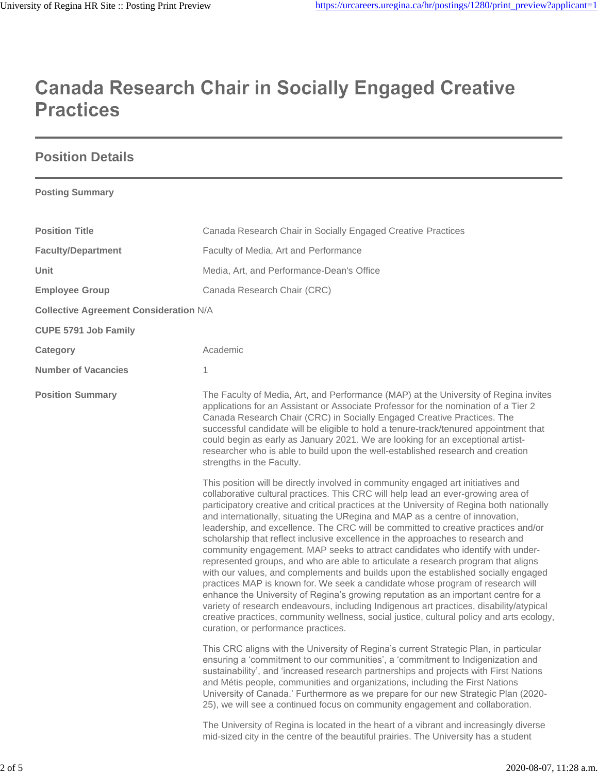# **Canada Research Chair in Socially Engaged Creative Practices**

## **Position Details**

**Posting Summary**

| <b>Position Title</b>                         | Canada Research Chair in Socially Engaged Creative Practices                                                                                                                                                                                                                                                                                                                                                                                                                                                                                                                                                                                                                                                                                                                                                                                                                                                                                                                                                                                                                                                                                                                                    |
|-----------------------------------------------|-------------------------------------------------------------------------------------------------------------------------------------------------------------------------------------------------------------------------------------------------------------------------------------------------------------------------------------------------------------------------------------------------------------------------------------------------------------------------------------------------------------------------------------------------------------------------------------------------------------------------------------------------------------------------------------------------------------------------------------------------------------------------------------------------------------------------------------------------------------------------------------------------------------------------------------------------------------------------------------------------------------------------------------------------------------------------------------------------------------------------------------------------------------------------------------------------|
| <b>Faculty/Department</b>                     | Faculty of Media, Art and Performance                                                                                                                                                                                                                                                                                                                                                                                                                                                                                                                                                                                                                                                                                                                                                                                                                                                                                                                                                                                                                                                                                                                                                           |
| Unit                                          | Media, Art, and Performance-Dean's Office                                                                                                                                                                                                                                                                                                                                                                                                                                                                                                                                                                                                                                                                                                                                                                                                                                                                                                                                                                                                                                                                                                                                                       |
| <b>Employee Group</b>                         | Canada Research Chair (CRC)                                                                                                                                                                                                                                                                                                                                                                                                                                                                                                                                                                                                                                                                                                                                                                                                                                                                                                                                                                                                                                                                                                                                                                     |
| <b>Collective Agreement Consideration N/A</b> |                                                                                                                                                                                                                                                                                                                                                                                                                                                                                                                                                                                                                                                                                                                                                                                                                                                                                                                                                                                                                                                                                                                                                                                                 |
| <b>CUPE 5791 Job Family</b>                   |                                                                                                                                                                                                                                                                                                                                                                                                                                                                                                                                                                                                                                                                                                                                                                                                                                                                                                                                                                                                                                                                                                                                                                                                 |
| Category                                      | Academic                                                                                                                                                                                                                                                                                                                                                                                                                                                                                                                                                                                                                                                                                                                                                                                                                                                                                                                                                                                                                                                                                                                                                                                        |
| <b>Number of Vacancies</b>                    | 1                                                                                                                                                                                                                                                                                                                                                                                                                                                                                                                                                                                                                                                                                                                                                                                                                                                                                                                                                                                                                                                                                                                                                                                               |
| <b>Position Summary</b>                       | The Faculty of Media, Art, and Performance (MAP) at the University of Regina invites<br>applications for an Assistant or Associate Professor for the nomination of a Tier 2<br>Canada Research Chair (CRC) in Socially Engaged Creative Practices. The<br>successful candidate will be eligible to hold a tenure-track/tenured appointment that<br>could begin as early as January 2021. We are looking for an exceptional artist-<br>researcher who is able to build upon the well-established research and creation<br>strengths in the Faculty.                                                                                                                                                                                                                                                                                                                                                                                                                                                                                                                                                                                                                                              |
|                                               | This position will be directly involved in community engaged art initiatives and<br>collaborative cultural practices. This CRC will help lead an ever-growing area of<br>participatory creative and critical practices at the University of Regina both nationally<br>and internationally, situating the URegina and MAP as a centre of innovation,<br>leadership, and excellence. The CRC will be committed to creative practices and/or<br>scholarship that reflect inclusive excellence in the approaches to research and<br>community engagement. MAP seeks to attract candidates who identify with under-<br>represented groups, and who are able to articulate a research program that aligns<br>with our values, and complements and builds upon the established socially engaged<br>practices MAP is known for. We seek a candidate whose program of research will<br>enhance the University of Regina's growing reputation as an important centre for a<br>variety of research endeavours, including Indigenous art practices, disability/atypical<br>creative practices, community wellness, social justice, cultural policy and arts ecology,<br>curation, or performance practices. |
|                                               | This CRC aligns with the University of Regina's current Strategic Plan, in particular<br>ensuring a 'commitment to our communities', a 'commitment to Indigenization and<br>sustainability', and 'increased research partnerships and projects with First Nations<br>and Métis people, communities and organizations, including the First Nations<br>University of Canada.' Furthermore as we prepare for our new Strategic Plan (2020-<br>25), we will see a continued focus on community engagement and collaboration.                                                                                                                                                                                                                                                                                                                                                                                                                                                                                                                                                                                                                                                                        |
|                                               | The University of Regina is located in the heart of a vibrant and increasingly diverse<br>mid-sized city in the centre of the beautiful prairies. The University has a student                                                                                                                                                                                                                                                                                                                                                                                                                                                                                                                                                                                                                                                                                                                                                                                                                                                                                                                                                                                                                  |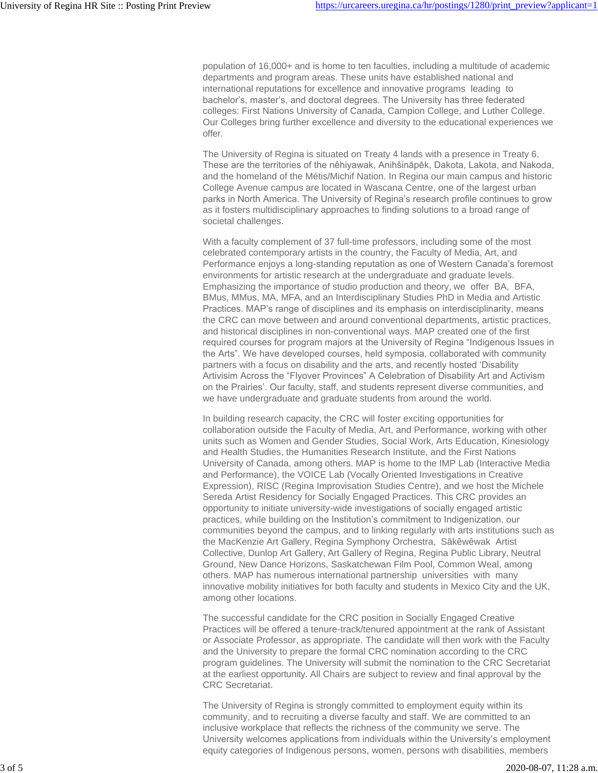population of 16,000+ and is home to ten faculties, including a multitude of academic departments and program areas. These units have established national and international reputations for excellence and innovative programs leading to bachelor's, master's, and doctoral degrees. The University has three federated colleges: First Nations University of Canada, Campion College, and Luther College. Our Colleges bring further excellence and diversity to the educational experiences we offer.

The University of Regina is situated on Treaty 4 lands with a presence in Treaty 6. These are the territories of the nêhiyawak, Anihšināpēk, Dakota, Lakota, and Nakoda, and the homeland of the Métis/Michif Nation. In Regina our main campus and historic College Avenue campus are located in Wascana Centre, one of the largest urban parks in North America. The University of Regina's research profile continues to grow as it fosters multidisciplinary approaches to finding solutions to a broad range of societal challenges.

With a faculty complement of 37 full-time professors, including some of the most celebrated contemporary artists in the country, the Faculty of Media, Art, and Performance enjoys a long-standing reputation as one of Western Canada's foremost environments for artistic research at the undergraduate and graduate levels. Emphasizing the importance of studio production and theory, we offer BA, BFA, BMus, MMus, MA, MFA, and an Interdisciplinary Studies PhD in Media and Artistic Practices. MAP's range of disciplines and its emphasis on interdisciplinarity, means the CRC can move between and around conventional departments, artistic practices, and historical disciplines in non-conventional ways. MAP created one of the first required courses for program majors at the University of Regina "Indigenous Issues in the Arts". We have developed courses, held symposia, collaborated with community partners with a focus on disability and the arts, and recently hosted 'Disability Artivisim Across the "Flyover Provinces" A Celebration of Disability Art and Activism on the Prairies'. Our faculty, staff, and students represent diverse communities, and we have undergraduate and graduate students from around the world.

In building research capacity, the CRC will foster exciting opportunities for collaboration outside the Faculty of Media, Art, and Performance, working with other units such as Women and Gender Studies, Social Work, Arts Education, Kinesiology and Health Studies, the Humanities Research Institute, and the First Nations University of Canada, among others. MAP is home to the IMP Lab (Interactive Media and Performance), the VOICE Lab (Vocally Oriented Investigations in Creative Expression), RISC (Regina Improvisation Studies Centre), and we host the Michele Sereda Artist Residency for Socially Engaged Practices. This CRC provides an opportunity to initiate university-wide investigations of socially engaged artistic practices, while building on the Institution's commitment to Indigenization, our communities beyond the campus, and to linking regularly with arts institutions such as the MacKenzie Art Gallery, Regina Symphony Orchestra, Sâkêwêwak Artist Collective, Dunlop Art Gallery, Art Gallery of Regina, Regina Public Library, Neutral Ground, New Dance Horizons, Saskatchewan Film Pool, Common Weal, among others. MAP has numerous international partnership universities with many innovative mobility initiatives for both faculty and students in Mexico City and the UK, among other locations.

The successful candidate for the CRC position in Socially Engaged Creative Practices will be offered a tenure-track/tenured appointment at the rank of Assistant or Associate Professor, as appropriate. The candidate will then work with the Faculty and the University to prepare the formal CRC nomination according to the CRC program guidelines. The University will submit the nomination to the CRC Secretariat at the earliest opportunity. All Chairs are subject to review and final approval by the CRC Secretariat.

The University of Regina is strongly committed to employment equity within its community, and to recruiting a diverse faculty and staff. We are committed to an inclusive workplace that reflects the richness of the community we serve. The University welcomes applications from individuals within the University's employment equity categories of Indigenous persons, women, persons with disabilities, members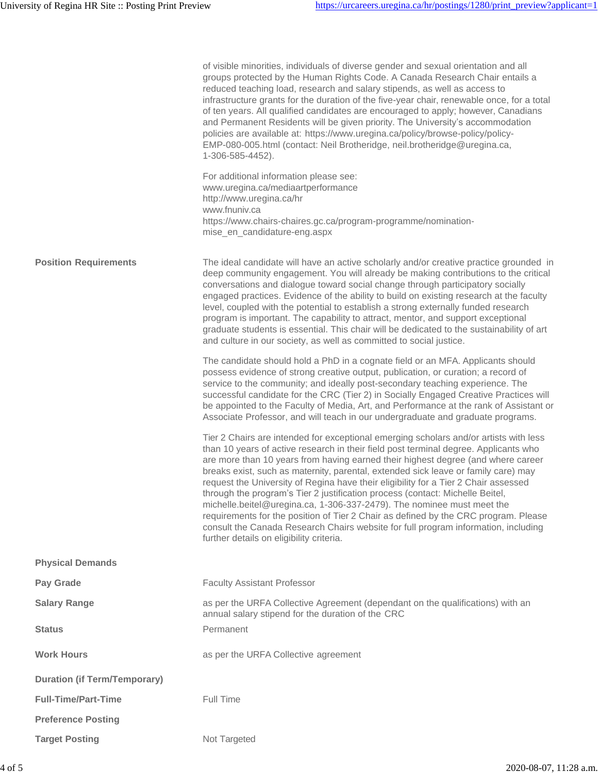|                                     | of visible minorities, individuals of diverse gender and sexual orientation and all<br>groups protected by the Human Rights Code. A Canada Research Chair entails a<br>reduced teaching load, research and salary stipends, as well as access to<br>infrastructure grants for the duration of the five-year chair, renewable once, for a total<br>of ten years. All qualified candidates are encouraged to apply; however, Canadians<br>and Permanent Residents will be given priority. The University's accommodation<br>policies are available at: https://www.uregina.ca/policy/browse-policy/policy-<br>EMP-080-005.html (contact: Neil Brotheridge, neil.brotheridge@uregina.ca,<br>1-306-585-4452).<br>For additional information please see:<br>www.uregina.ca/mediaartperformance<br>http://www.uregina.ca/hr<br>www.fnuniv.ca<br>https://www.chairs-chaires.gc.ca/program-programme/nomination-<br>mise_en_candidature-eng.aspx |
|-------------------------------------|------------------------------------------------------------------------------------------------------------------------------------------------------------------------------------------------------------------------------------------------------------------------------------------------------------------------------------------------------------------------------------------------------------------------------------------------------------------------------------------------------------------------------------------------------------------------------------------------------------------------------------------------------------------------------------------------------------------------------------------------------------------------------------------------------------------------------------------------------------------------------------------------------------------------------------------|
| <b>Position Requirements</b>        | The ideal candidate will have an active scholarly and/or creative practice grounded in<br>deep community engagement. You will already be making contributions to the critical<br>conversations and dialogue toward social change through participatory socially<br>engaged practices. Evidence of the ability to build on existing research at the faculty<br>level, coupled with the potential to establish a strong externally funded research<br>program is important. The capability to attract, mentor, and support exceptional<br>graduate students is essential. This chair will be dedicated to the sustainability of art<br>and culture in our society, as well as committed to social justice.                                                                                                                                                                                                                                 |
|                                     | The candidate should hold a PhD in a cognate field or an MFA. Applicants should<br>possess evidence of strong creative output, publication, or curation; a record of<br>service to the community; and ideally post-secondary teaching experience. The<br>successful candidate for the CRC (Tier 2) in Socially Engaged Creative Practices will<br>be appointed to the Faculty of Media, Art, and Performance at the rank of Assistant or<br>Associate Professor, and will teach in our undergraduate and graduate programs.                                                                                                                                                                                                                                                                                                                                                                                                              |
|                                     | Tier 2 Chairs are intended for exceptional emerging scholars and/or artists with less<br>than 10 years of active research in their field post terminal degree. Applicants who<br>are more than 10 years from having earned their highest degree (and where career<br>breaks exist, such as maternity, parental, extended sick leave or family care) may<br>request the University of Regina have their eligibility for a Tier 2 Chair assessed<br>through the program's Tier 2 justification process (contact: Michelle Beitel,<br>michelle.beitel@uregina.ca, 1-306-337-2479). The nominee must meet the<br>requirements for the position of Tier 2 Chair as defined by the CRC program. Please<br>consult the Canada Research Chairs website for full program information, including<br>further details on eligibility criteria.                                                                                                       |
| <b>Physical Demands</b>             |                                                                                                                                                                                                                                                                                                                                                                                                                                                                                                                                                                                                                                                                                                                                                                                                                                                                                                                                          |
| Pay Grade                           | <b>Faculty Assistant Professor</b>                                                                                                                                                                                                                                                                                                                                                                                                                                                                                                                                                                                                                                                                                                                                                                                                                                                                                                       |
| <b>Salary Range</b>                 | as per the URFA Collective Agreement (dependant on the qualifications) with an<br>annual salary stipend for the duration of the CRC                                                                                                                                                                                                                                                                                                                                                                                                                                                                                                                                                                                                                                                                                                                                                                                                      |
| <b>Status</b>                       | Permanent                                                                                                                                                                                                                                                                                                                                                                                                                                                                                                                                                                                                                                                                                                                                                                                                                                                                                                                                |
| <b>Work Hours</b>                   | as per the URFA Collective agreement                                                                                                                                                                                                                                                                                                                                                                                                                                                                                                                                                                                                                                                                                                                                                                                                                                                                                                     |
| <b>Duration (if Term/Temporary)</b> |                                                                                                                                                                                                                                                                                                                                                                                                                                                                                                                                                                                                                                                                                                                                                                                                                                                                                                                                          |
| <b>Full-Time/Part-Time</b>          | Full Time                                                                                                                                                                                                                                                                                                                                                                                                                                                                                                                                                                                                                                                                                                                                                                                                                                                                                                                                |
| <b>Preference Posting</b>           |                                                                                                                                                                                                                                                                                                                                                                                                                                                                                                                                                                                                                                                                                                                                                                                                                                                                                                                                          |
| <b>Target Posting</b>               | Not Targeted                                                                                                                                                                                                                                                                                                                                                                                                                                                                                                                                                                                                                                                                                                                                                                                                                                                                                                                             |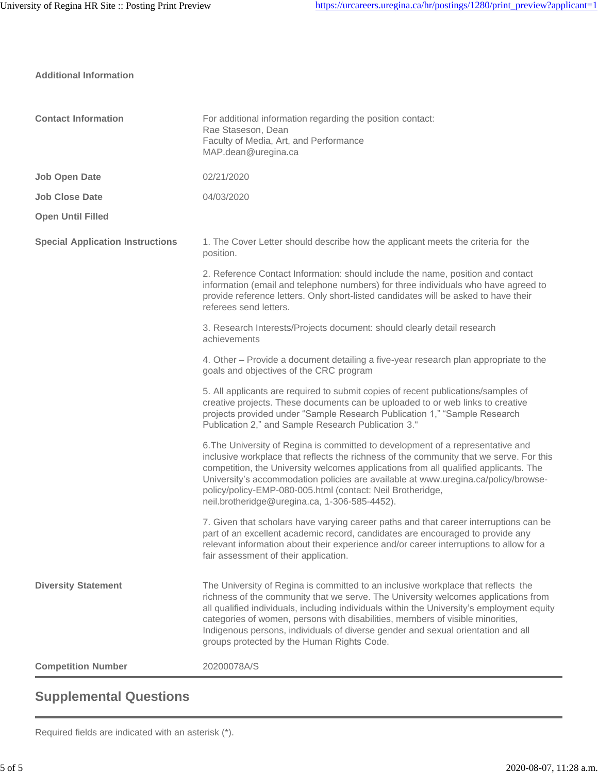| <b>Contact Information</b>              | For additional information regarding the position contact:<br>Rae Staseson, Dean<br>Faculty of Media, Art, and Performance<br>MAP.dean@uregina.ca                                                                                                                                                                                                                                                                                                                                         |
|-----------------------------------------|-------------------------------------------------------------------------------------------------------------------------------------------------------------------------------------------------------------------------------------------------------------------------------------------------------------------------------------------------------------------------------------------------------------------------------------------------------------------------------------------|
| <b>Job Open Date</b>                    | 02/21/2020                                                                                                                                                                                                                                                                                                                                                                                                                                                                                |
| <b>Job Close Date</b>                   | 04/03/2020                                                                                                                                                                                                                                                                                                                                                                                                                                                                                |
| <b>Open Until Filled</b>                |                                                                                                                                                                                                                                                                                                                                                                                                                                                                                           |
| <b>Special Application Instructions</b> | 1. The Cover Letter should describe how the applicant meets the criteria for the<br>position.                                                                                                                                                                                                                                                                                                                                                                                             |
|                                         | 2. Reference Contact Information: should include the name, position and contact<br>information (email and telephone numbers) for three individuals who have agreed to<br>provide reference letters. Only short-listed candidates will be asked to have their<br>referees send letters.                                                                                                                                                                                                    |
|                                         | 3. Research Interests/Projects document: should clearly detail research<br>achievements                                                                                                                                                                                                                                                                                                                                                                                                   |
|                                         | 4. Other – Provide a document detailing a five-year research plan appropriate to the<br>goals and objectives of the CRC program                                                                                                                                                                                                                                                                                                                                                           |
|                                         | 5. All applicants are required to submit copies of recent publications/samples of<br>creative projects. These documents can be uploaded to or web links to creative<br>projects provided under "Sample Research Publication 1," "Sample Research<br>Publication 2," and Sample Research Publication 3."                                                                                                                                                                                   |
|                                         | 6. The University of Regina is committed to development of a representative and<br>inclusive workplace that reflects the richness of the community that we serve. For this<br>competition, the University welcomes applications from all qualified applicants. The<br>University's accommodation policies are available at www.uregina.ca/policy/browse-<br>policy/policy-EMP-080-005.html (contact: Neil Brotheridge,<br>neil.brotheridge@uregina.ca, 1-306-585-4452).                   |
|                                         | 7. Given that scholars have varying career paths and that career interruptions can be<br>part of an excellent academic record, candidates are encouraged to provide any<br>relevant information about their experience and/or career interruptions to allow for a<br>fair assessment of their application.                                                                                                                                                                                |
| <b>Diversity Statement</b>              | The University of Regina is committed to an inclusive workplace that reflects the<br>richness of the community that we serve. The University welcomes applications from<br>all qualified individuals, including individuals within the University's employment equity<br>categories of women, persons with disabilities, members of visible minorities,<br>Indigenous persons, individuals of diverse gender and sexual orientation and all<br>groups protected by the Human Rights Code. |
| <b>Competition Number</b>               | 20200078A/S                                                                                                                                                                                                                                                                                                                                                                                                                                                                               |

## **Supplemental Questions**

Required fields are indicated with an asterisk (\*).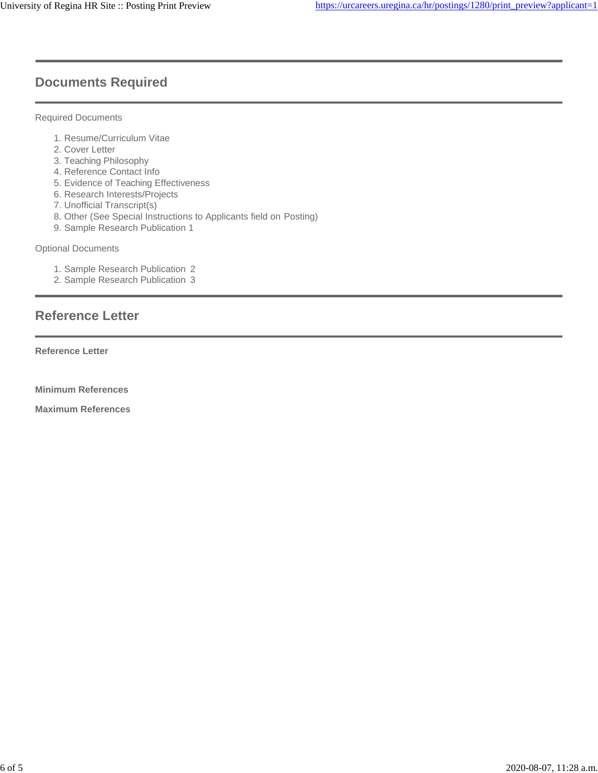## **Documents Required**

#### Required Documents

- 1. Resume/Curriculum Vitae
- 2. Cover Letter
- 3. Teaching Philosophy
- 4. Reference Contact Info
- 5. Evidence of Teaching Effectiveness
- 6. Research Interests/Projects
- 7. Unofficial Transcript(s)
- 8. Other (See Special Instructions to Applicants field on Posting)
- 9. Sample Research Publication 1

#### Optional Documents

- 1. Sample Research Publication 2
- 2. Sample Research Publication 3

## **Reference Letter**

**Reference Letter**

**Minimum References** 

**Maximum References**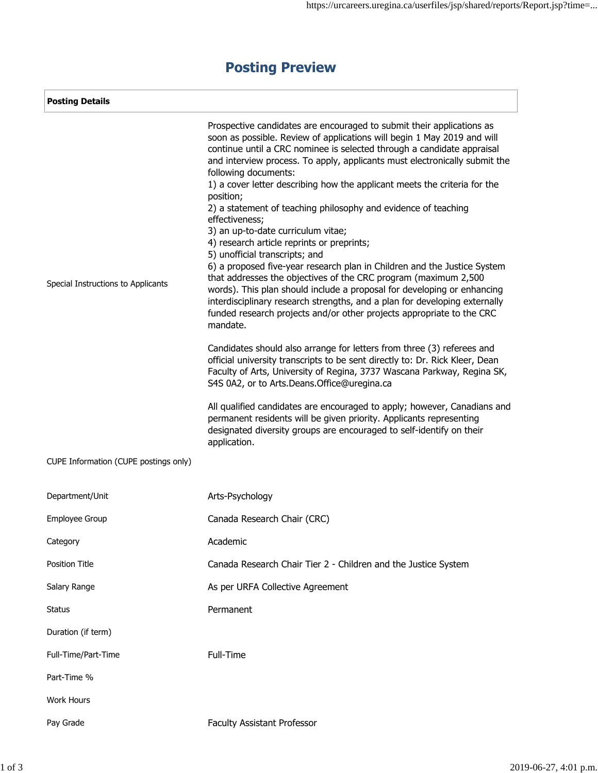| <b>Posting Details</b>                |                                                                                                                                                                                                                                                                                                                                                                                                                                                                                                                                                                                                                                                                                                                                                                                                                                                                                                                                                                                                                                                                                                                                                                                                                                                                                                                                                                                                   |  |  |
|---------------------------------------|---------------------------------------------------------------------------------------------------------------------------------------------------------------------------------------------------------------------------------------------------------------------------------------------------------------------------------------------------------------------------------------------------------------------------------------------------------------------------------------------------------------------------------------------------------------------------------------------------------------------------------------------------------------------------------------------------------------------------------------------------------------------------------------------------------------------------------------------------------------------------------------------------------------------------------------------------------------------------------------------------------------------------------------------------------------------------------------------------------------------------------------------------------------------------------------------------------------------------------------------------------------------------------------------------------------------------------------------------------------------------------------------------|--|--|
| Special Instructions to Applicants    | Prospective candidates are encouraged to submit their applications as<br>soon as possible. Review of applications will begin 1 May 2019 and will<br>continue until a CRC nominee is selected through a candidate appraisal<br>and interview process. To apply, applicants must electronically submit the<br>following documents:<br>1) a cover letter describing how the applicant meets the criteria for the<br>position;<br>2) a statement of teaching philosophy and evidence of teaching<br>effectiveness;<br>3) an up-to-date curriculum vitae;<br>4) research article reprints or preprints;<br>5) unofficial transcripts; and<br>6) a proposed five-year research plan in Children and the Justice System<br>that addresses the objectives of the CRC program (maximum 2,500<br>words). This plan should include a proposal for developing or enhancing<br>interdisciplinary research strengths, and a plan for developing externally<br>funded research projects and/or other projects appropriate to the CRC<br>mandate.<br>Candidates should also arrange for letters from three (3) referees and<br>official university transcripts to be sent directly to: Dr. Rick Kleer, Dean<br>Faculty of Arts, University of Regina, 3737 Wascana Parkway, Regina SK,<br>S4S 0A2, or to Arts.Deans.Office@uregina.ca<br>All qualified candidates are encouraged to apply; however, Canadians and |  |  |
|                                       | permanent residents will be given priority. Applicants representing<br>designated diversity groups are encouraged to self-identify on their<br>application.                                                                                                                                                                                                                                                                                                                                                                                                                                                                                                                                                                                                                                                                                                                                                                                                                                                                                                                                                                                                                                                                                                                                                                                                                                       |  |  |
| CUPE Information (CUPE postings only) |                                                                                                                                                                                                                                                                                                                                                                                                                                                                                                                                                                                                                                                                                                                                                                                                                                                                                                                                                                                                                                                                                                                                                                                                                                                                                                                                                                                                   |  |  |
| Department/Unit                       | Arts-Psychology                                                                                                                                                                                                                                                                                                                                                                                                                                                                                                                                                                                                                                                                                                                                                                                                                                                                                                                                                                                                                                                                                                                                                                                                                                                                                                                                                                                   |  |  |
| Employee Group                        | Canada Research Chair (CRC)                                                                                                                                                                                                                                                                                                                                                                                                                                                                                                                                                                                                                                                                                                                                                                                                                                                                                                                                                                                                                                                                                                                                                                                                                                                                                                                                                                       |  |  |
| Category                              | Academic                                                                                                                                                                                                                                                                                                                                                                                                                                                                                                                                                                                                                                                                                                                                                                                                                                                                                                                                                                                                                                                                                                                                                                                                                                                                                                                                                                                          |  |  |
| Position Title                        | Canada Research Chair Tier 2 - Children and the Justice System                                                                                                                                                                                                                                                                                                                                                                                                                                                                                                                                                                                                                                                                                                                                                                                                                                                                                                                                                                                                                                                                                                                                                                                                                                                                                                                                    |  |  |
| Salary Range                          | As per URFA Collective Agreement                                                                                                                                                                                                                                                                                                                                                                                                                                                                                                                                                                                                                                                                                                                                                                                                                                                                                                                                                                                                                                                                                                                                                                                                                                                                                                                                                                  |  |  |
| <b>Status</b>                         | Permanent                                                                                                                                                                                                                                                                                                                                                                                                                                                                                                                                                                                                                                                                                                                                                                                                                                                                                                                                                                                                                                                                                                                                                                                                                                                                                                                                                                                         |  |  |
| Duration (if term)                    |                                                                                                                                                                                                                                                                                                                                                                                                                                                                                                                                                                                                                                                                                                                                                                                                                                                                                                                                                                                                                                                                                                                                                                                                                                                                                                                                                                                                   |  |  |
| Full-Time/Part-Time                   | Full-Time                                                                                                                                                                                                                                                                                                                                                                                                                                                                                                                                                                                                                                                                                                                                                                                                                                                                                                                                                                                                                                                                                                                                                                                                                                                                                                                                                                                         |  |  |
| Part-Time %                           |                                                                                                                                                                                                                                                                                                                                                                                                                                                                                                                                                                                                                                                                                                                                                                                                                                                                                                                                                                                                                                                                                                                                                                                                                                                                                                                                                                                                   |  |  |
| <b>Work Hours</b>                     |                                                                                                                                                                                                                                                                                                                                                                                                                                                                                                                                                                                                                                                                                                                                                                                                                                                                                                                                                                                                                                                                                                                                                                                                                                                                                                                                                                                                   |  |  |
| Pay Grade                             | <b>Faculty Assistant Professor</b>                                                                                                                                                                                                                                                                                                                                                                                                                                                                                                                                                                                                                                                                                                                                                                                                                                                                                                                                                                                                                                                                                                                                                                                                                                                                                                                                                                |  |  |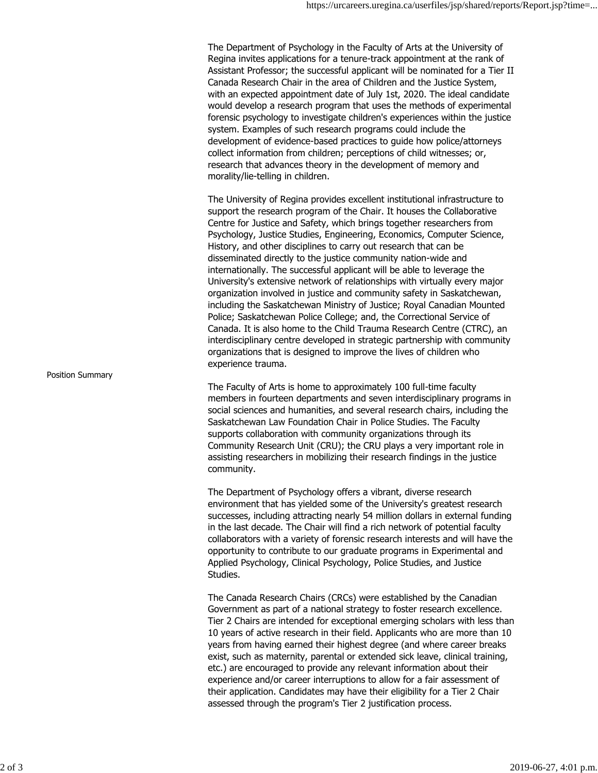The Department of Psychology in the Faculty of Arts at the University of Regina invites applications for a tenure-track appointment at the rank of Assistant Professor; the successful applicant will be nominated for a Tier II Canada Research Chair in the area of Children and the Justice System, with an expected appointment date of July 1st, 2020. The ideal candidate would develop a research program that uses the methods of experimental forensic psychology to investigate children's experiences within the justice system. Examples of such research programs could include the development of evidence-based practices to guide how police/attorneys collect information from children; perceptions of child witnesses; or, research that advances theory in the development of memory and morality/lie-telling in children.

The University of Regina provides excellent institutional infrastructure to support the research program of the Chair. It houses the Collaborative Centre for Justice and Safety, which brings together researchers from Psychology, Justice Studies, Engineering, Economics, Computer Science, History, and other disciplines to carry out research that can be disseminated directly to the justice community nation-wide and internationally. The successful applicant will be able to leverage the University's extensive network of relationships with virtually every major organization involved in justice and community safety in Saskatchewan, including the Saskatchewan Ministry of Justice; Royal Canadian Mounted Police; Saskatchewan Police College; and, the Correctional Service of Canada. It is also home to the Child Trauma Research Centre (CTRC), an interdisciplinary centre developed in strategic partnership with community organizations that is designed to improve the lives of children who experience trauma.

The Faculty of Arts is home to approximately 100 full-time faculty members in fourteen departments and seven interdisciplinary programs in social sciences and humanities, and several research chairs, including the Saskatchewan Law Foundation Chair in Police Studies. The Faculty supports collaboration with community organizations through its Community Research Unit (CRU); the CRU plays a very important role in assisting researchers in mobilizing their research findings in the justice community.

The Department of Psychology offers a vibrant, diverse research environment that has yielded some of the University's greatest research successes, including attracting nearly 54 million dollars in external funding in the last decade. The Chair will find a rich network of potential faculty collaborators with a variety of forensic research interests and will have the opportunity to contribute to our graduate programs in Experimental and Applied Psychology, Clinical Psychology, Police Studies, and Justice Studies.

The Canada Research Chairs (CRCs) were established by the Canadian Government as part of a national strategy to foster research excellence. Tier 2 Chairs are intended for exceptional emerging scholars with less than 10 years of active research in their field. Applicants who are more than 10 years from having earned their highest degree (and where career breaks exist, such as maternity, parental or extended sick leave, clinical training, etc.) are encouraged to provide any relevant information about their experience and/or career interruptions to allow for a fair assessment of their application. Candidates may have their eligibility for a Tier 2 Chair assessed through the program's Tier 2 justification process.

Position Summary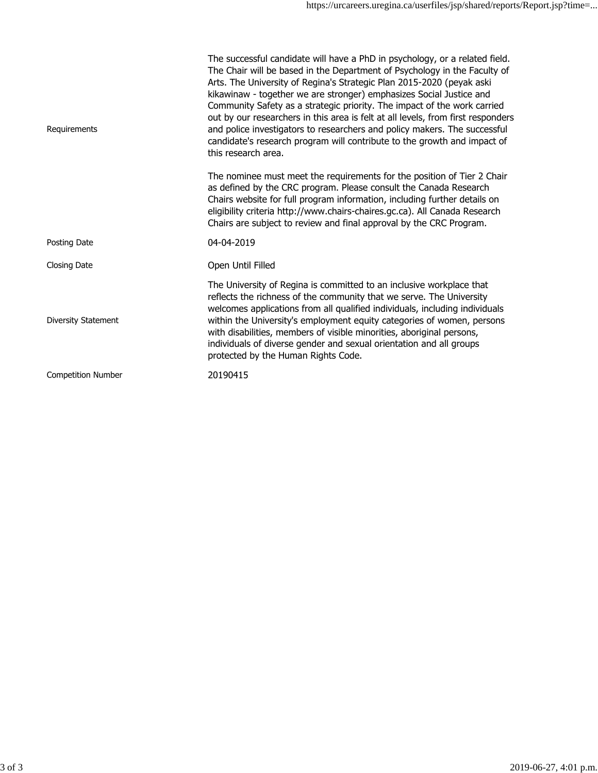| Requirements              | The successful candidate will have a PhD in psychology, or a related field.<br>The Chair will be based in the Department of Psychology in the Faculty of<br>Arts. The University of Regina's Strategic Plan 2015-2020 (peyak aski<br>kikawinaw - together we are stronger) emphasizes Social Justice and<br>Community Safety as a strategic priority. The impact of the work carried<br>out by our researchers in this area is felt at all levels, from first responders<br>and police investigators to researchers and policy makers. The successful<br>candidate's research program will contribute to the growth and impact of<br>this research area. |
|---------------------------|----------------------------------------------------------------------------------------------------------------------------------------------------------------------------------------------------------------------------------------------------------------------------------------------------------------------------------------------------------------------------------------------------------------------------------------------------------------------------------------------------------------------------------------------------------------------------------------------------------------------------------------------------------|
|                           | The nominee must meet the requirements for the position of Tier 2 Chair<br>as defined by the CRC program. Please consult the Canada Research<br>Chairs website for full program information, including further details on<br>eligibility criteria http://www.chairs-chaires.gc.ca). All Canada Research<br>Chairs are subject to review and final approval by the CRC Program.                                                                                                                                                                                                                                                                           |
| Posting Date              | 04-04-2019                                                                                                                                                                                                                                                                                                                                                                                                                                                                                                                                                                                                                                               |
| Closing Date              | Open Until Filled                                                                                                                                                                                                                                                                                                                                                                                                                                                                                                                                                                                                                                        |
| Diversity Statement       | The University of Regina is committed to an inclusive workplace that<br>reflects the richness of the community that we serve. The University<br>welcomes applications from all qualified individuals, including individuals<br>within the University's employment equity categories of women, persons<br>with disabilities, members of visible minorities, aboriginal persons,<br>individuals of diverse gender and sexual orientation and all groups<br>protected by the Human Rights Code.                                                                                                                                                             |
| <b>Competition Number</b> | 20190415                                                                                                                                                                                                                                                                                                                                                                                                                                                                                                                                                                                                                                                 |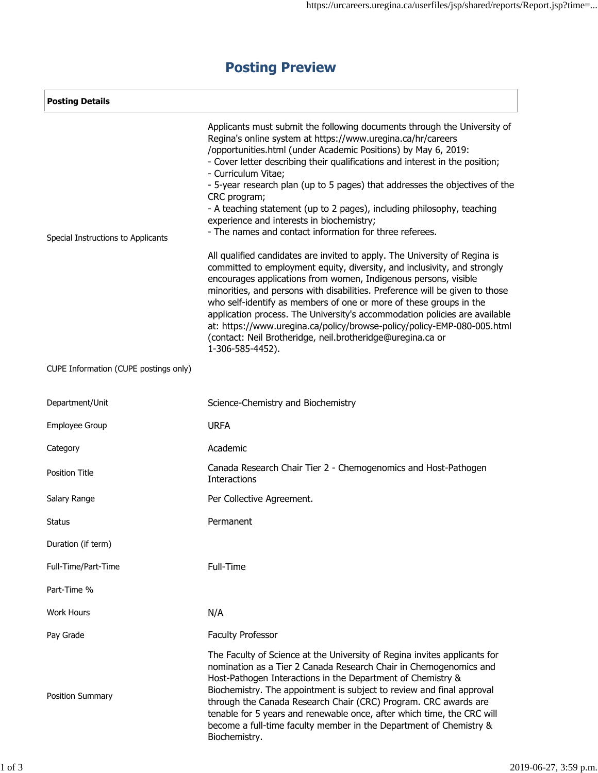| <b>Posting Details</b>                |                                                                                                                                                                                                                                                                                                                                                                                                                                                                                                                                                                                                                                                                                 |  |  |
|---------------------------------------|---------------------------------------------------------------------------------------------------------------------------------------------------------------------------------------------------------------------------------------------------------------------------------------------------------------------------------------------------------------------------------------------------------------------------------------------------------------------------------------------------------------------------------------------------------------------------------------------------------------------------------------------------------------------------------|--|--|
| Special Instructions to Applicants    | Applicants must submit the following documents through the University of<br>Regina's online system at https://www.uregina.ca/hr/careers<br>/opportunities.html (under Academic Positions) by May 6, 2019:<br>- Cover letter describing their qualifications and interest in the position;<br>- Curriculum Vitae;<br>- 5-year research plan (up to 5 pages) that addresses the objectives of the<br>CRC program;<br>- A teaching statement (up to 2 pages), including philosophy, teaching<br>experience and interests in biochemistry;<br>- The names and contact information for three referees.<br>All qualified candidates are invited to apply. The University of Regina is |  |  |
|                                       | committed to employment equity, diversity, and inclusivity, and strongly<br>encourages applications from women, Indigenous persons, visible<br>minorities, and persons with disabilities. Preference will be given to those<br>who self-identify as members of one or more of these groups in the<br>application process. The University's accommodation policies are available<br>at: https://www.uregina.ca/policy/browse-policy/policy-EMP-080-005.html<br>(contact: Neil Brotheridge, neil.brotheridge@uregina.ca or<br>1-306-585-4452).                                                                                                                                    |  |  |
| CUPE Information (CUPE postings only) |                                                                                                                                                                                                                                                                                                                                                                                                                                                                                                                                                                                                                                                                                 |  |  |
| Department/Unit                       | Science-Chemistry and Biochemistry                                                                                                                                                                                                                                                                                                                                                                                                                                                                                                                                                                                                                                              |  |  |
| Employee Group                        | <b>URFA</b>                                                                                                                                                                                                                                                                                                                                                                                                                                                                                                                                                                                                                                                                     |  |  |
| Category                              | Academic                                                                                                                                                                                                                                                                                                                                                                                                                                                                                                                                                                                                                                                                        |  |  |
| <b>Position Title</b>                 | Canada Research Chair Tier 2 - Chemogenomics and Host-Pathogen<br><b>Interactions</b>                                                                                                                                                                                                                                                                                                                                                                                                                                                                                                                                                                                           |  |  |
| Salary Range                          | Per Collective Agreement.                                                                                                                                                                                                                                                                                                                                                                                                                                                                                                                                                                                                                                                       |  |  |
| Status                                | Permanent                                                                                                                                                                                                                                                                                                                                                                                                                                                                                                                                                                                                                                                                       |  |  |
| Duration (if term)                    |                                                                                                                                                                                                                                                                                                                                                                                                                                                                                                                                                                                                                                                                                 |  |  |
| Full-Time/Part-Time                   | Full-Time                                                                                                                                                                                                                                                                                                                                                                                                                                                                                                                                                                                                                                                                       |  |  |
| Part-Time %                           |                                                                                                                                                                                                                                                                                                                                                                                                                                                                                                                                                                                                                                                                                 |  |  |
| <b>Work Hours</b>                     | N/A                                                                                                                                                                                                                                                                                                                                                                                                                                                                                                                                                                                                                                                                             |  |  |
| Pay Grade                             | <b>Faculty Professor</b>                                                                                                                                                                                                                                                                                                                                                                                                                                                                                                                                                                                                                                                        |  |  |
| Position Summary                      | The Faculty of Science at the University of Regina invites applicants for<br>nomination as a Tier 2 Canada Research Chair in Chemogenomics and<br>Host-Pathogen Interactions in the Department of Chemistry &<br>Biochemistry. The appointment is subject to review and final approval<br>through the Canada Research Chair (CRC) Program. CRC awards are<br>tenable for 5 years and renewable once, after which time, the CRC will<br>become a full-time faculty member in the Department of Chemistry &<br>Biochemistry.                                                                                                                                                      |  |  |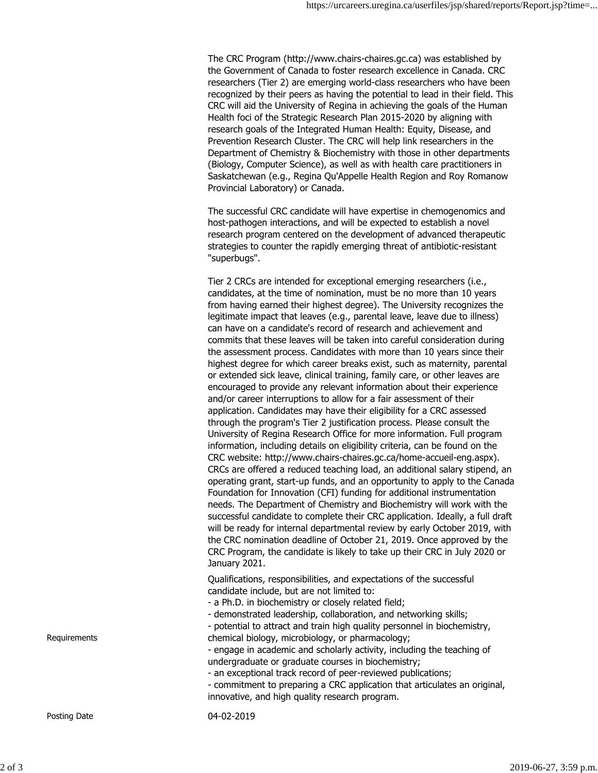The CRC Program (http://www.chairs-chaires.gc.ca) was established by the Government of Canada to foster research excellence in Canada. CRC researchers (Tier 2) are emerging world-class researchers who have been recognized by their peers as having the potential to lead in their field. This CRC will aid the University of Regina in achieving the goals of the Human Health foci of the Strategic Research Plan 2015-2020 by aligning with research goals of the Integrated Human Health: Equity, Disease, and Prevention Research Cluster. The CRC will help link researchers in the Department of Chemistry & Biochemistry with those in other departments (Biology, Computer Science), as well as with health care practitioners in Saskatchewan (e.g., Regina Qu'Appelle Health Region and Roy Romanow Provincial Laboratory) or Canada.

The successful CRC candidate will have expertise in chemogenomics and host-pathogen interactions, and will be expected to establish a novel research program centered on the development of advanced therapeutic strategies to counter the rapidly emerging threat of antibiotic-resistant "superbugs".

Tier 2 CRCs are intended for exceptional emerging researchers (i.e., candidates, at the time of nomination, must be no more than 10 years from having earned their highest degree). The University recognizes the legitimate impact that leaves (e.g., parental leave, leave due to illness) can have on a candidate's record of research and achievement and commits that these leaves will be taken into careful consideration during the assessment process. Candidates with more than 10 years since their highest degree for which career breaks exist, such as maternity, parental or extended sick leave, clinical training, family care, or other leaves are encouraged to provide any relevant information about their experience and/or career interruptions to allow for a fair assessment of their application. Candidates may have their eligibility for a CRC assessed through the program's Tier 2 justification process. Please consult the University of Regina Research Office for more information. Full program information, including details on eligibility criteria, can be found on the CRC website: [http://www.chairs-chaires.gc.ca/home-accueil-eng.aspx\).](http://www.chairs-chaires.gc.ca/home-accueil-eng.aspx)) CRCs are offered a reduced teaching load, an additional salary stipend, an operating grant, start-up funds, and an opportunity to apply to the Canada Foundation for Innovation (CFI) funding for additional instrumentation needs. The Department of Chemistry and Biochemistry will work with the successful candidate to complete their CRC application. Ideally, a full draft will be ready for internal departmental review by early October 2019, with the CRC nomination deadline of October 21, 2019. Once approved by the CRC Program, the candidate is likely to take up their CRC in July 2020 or January 2021.

Qualifications, responsibilities, and expectations of the successful candidate include, but are not limited to:

- a Ph.D. in biochemistry or closely related field;
- demonstrated leadership, collaboration, and networking skills;
- potential to attract and train high quality personnel in biochemistry, chemical biology, microbiology, or pharmacology;
- engage in academic and scholarly activity, including the teaching of undergraduate or graduate courses in biochemistry;
- an exceptional track record of peer-reviewed publications;
- commitment to preparing a CRC application that articulates an original, innovative, and high quality research program.

Posting Date 04-02-2019

Requirements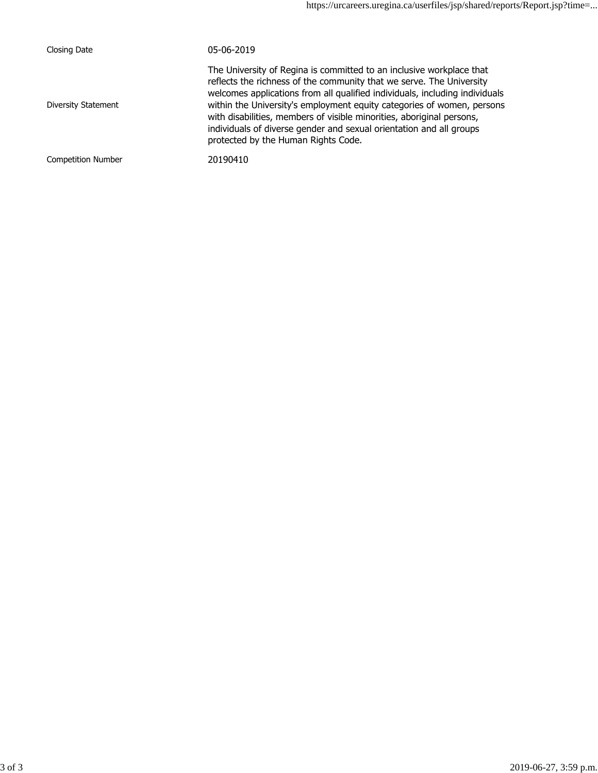| Closing Date              | 05-06-2019                                                                                                                                                                                                                                                                                                                                                                                                                                                                                   |
|---------------------------|----------------------------------------------------------------------------------------------------------------------------------------------------------------------------------------------------------------------------------------------------------------------------------------------------------------------------------------------------------------------------------------------------------------------------------------------------------------------------------------------|
| Diversity Statement       | The University of Regina is committed to an inclusive workplace that<br>reflects the richness of the community that we serve. The University<br>welcomes applications from all qualified individuals, including individuals<br>within the University's employment equity categories of women, persons<br>with disabilities, members of visible minorities, aboriginal persons,<br>individuals of diverse gender and sexual orientation and all groups<br>protected by the Human Rights Code. |
| <b>Competition Number</b> | 20190410                                                                                                                                                                                                                                                                                                                                                                                                                                                                                     |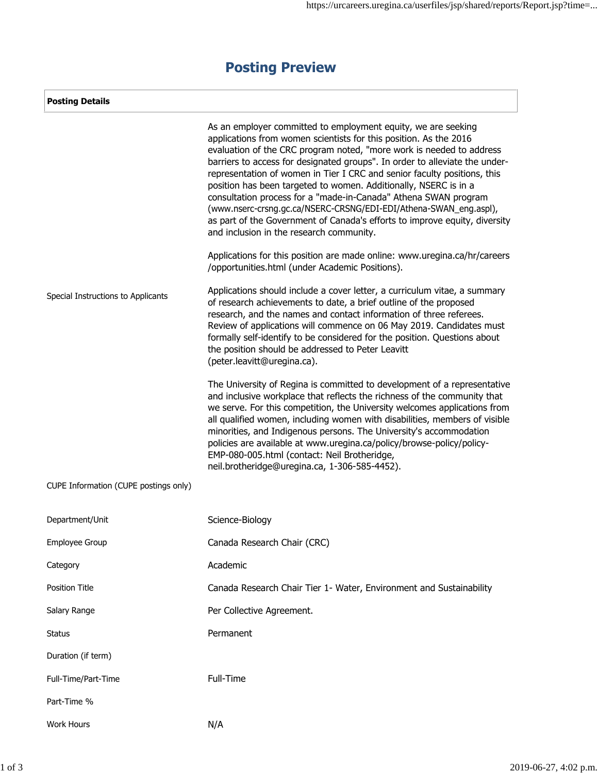| <b>Posting Details</b>                |                                                                                                                                                                                                                                                                                                                                                                                                                                                                                                                                                                                                                                                                                                             |
|---------------------------------------|-------------------------------------------------------------------------------------------------------------------------------------------------------------------------------------------------------------------------------------------------------------------------------------------------------------------------------------------------------------------------------------------------------------------------------------------------------------------------------------------------------------------------------------------------------------------------------------------------------------------------------------------------------------------------------------------------------------|
|                                       | As an employer committed to employment equity, we are seeking<br>applications from women scientists for this position. As the 2016<br>evaluation of the CRC program noted, "more work is needed to address<br>barriers to access for designated groups". In order to alleviate the under-<br>representation of women in Tier I CRC and senior faculty positions, this<br>position has been targeted to women. Additionally, NSERC is in a<br>consultation process for a "made-in-Canada" Athena SWAN program<br>(www.nserc-crsng.gc.ca/NSERC-CRSNG/EDI-EDI/Athena-SWAN_eng.aspl),<br>as part of the Government of Canada's efforts to improve equity, diversity<br>and inclusion in the research community. |
|                                       | Applications for this position are made online: www.uregina.ca/hr/careers<br>/opportunities.html (under Academic Positions).                                                                                                                                                                                                                                                                                                                                                                                                                                                                                                                                                                                |
| Special Instructions to Applicants    | Applications should include a cover letter, a curriculum vitae, a summary<br>of research achievements to date, a brief outline of the proposed<br>research, and the names and contact information of three referees.<br>Review of applications will commence on 06 May 2019. Candidates must<br>formally self-identify to be considered for the position. Questions about<br>the position should be addressed to Peter Leavitt<br>(peter.leavitt@uregina.ca).                                                                                                                                                                                                                                               |
|                                       | The University of Regina is committed to development of a representative<br>and inclusive workplace that reflects the richness of the community that<br>we serve. For this competition, the University welcomes applications from<br>all qualified women, including women with disabilities, members of visible<br>minorities, and Indigenous persons. The University's accommodation<br>policies are available at www.uregina.ca/policy/browse-policy/policy-<br>EMP-080-005.html (contact: Neil Brotheridge,<br>neil.brotheridge@uregina.ca, 1-306-585-4452).                                                                                                                                             |
| CUPE Information (CUPE postings only) |                                                                                                                                                                                                                                                                                                                                                                                                                                                                                                                                                                                                                                                                                                             |
| Department/Unit                       | Science-Biology                                                                                                                                                                                                                                                                                                                                                                                                                                                                                                                                                                                                                                                                                             |
| Employee Group                        | Canada Research Chair (CRC)                                                                                                                                                                                                                                                                                                                                                                                                                                                                                                                                                                                                                                                                                 |
| Category                              | Academic                                                                                                                                                                                                                                                                                                                                                                                                                                                                                                                                                                                                                                                                                                    |
| Position Title                        | Canada Research Chair Tier 1- Water, Environment and Sustainability                                                                                                                                                                                                                                                                                                                                                                                                                                                                                                                                                                                                                                         |
| Salary Range                          | Per Collective Agreement.                                                                                                                                                                                                                                                                                                                                                                                                                                                                                                                                                                                                                                                                                   |
| <b>Status</b>                         | Permanent                                                                                                                                                                                                                                                                                                                                                                                                                                                                                                                                                                                                                                                                                                   |
| Duration (if term)                    |                                                                                                                                                                                                                                                                                                                                                                                                                                                                                                                                                                                                                                                                                                             |
| Full-Time/Part-Time                   | Full-Time                                                                                                                                                                                                                                                                                                                                                                                                                                                                                                                                                                                                                                                                                                   |
| Part-Time %                           |                                                                                                                                                                                                                                                                                                                                                                                                                                                                                                                                                                                                                                                                                                             |
| Work Hours                            | N/A                                                                                                                                                                                                                                                                                                                                                                                                                                                                                                                                                                                                                                                                                                         |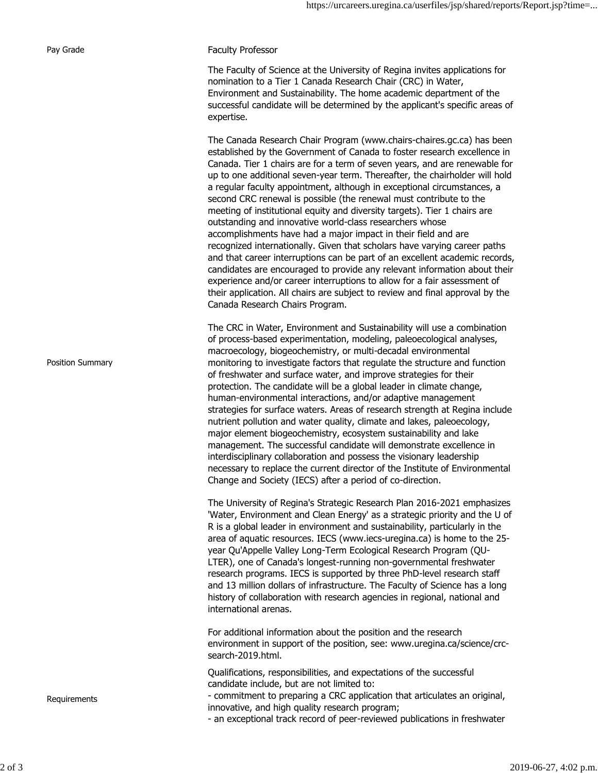| Pay Grade        | <b>Faculty Professor</b>                                                                                                                                                                                                                                                                                                                                                                                                                                                                                                                                                                                                                                                                                                                                                                                                                                                                                                                                                                                                                                                                                            |
|------------------|---------------------------------------------------------------------------------------------------------------------------------------------------------------------------------------------------------------------------------------------------------------------------------------------------------------------------------------------------------------------------------------------------------------------------------------------------------------------------------------------------------------------------------------------------------------------------------------------------------------------------------------------------------------------------------------------------------------------------------------------------------------------------------------------------------------------------------------------------------------------------------------------------------------------------------------------------------------------------------------------------------------------------------------------------------------------------------------------------------------------|
|                  | The Faculty of Science at the University of Regina invites applications for<br>nomination to a Tier 1 Canada Research Chair (CRC) in Water,<br>Environment and Sustainability. The home academic department of the<br>successful candidate will be determined by the applicant's specific areas of<br>expertise.                                                                                                                                                                                                                                                                                                                                                                                                                                                                                                                                                                                                                                                                                                                                                                                                    |
|                  | The Canada Research Chair Program (www.chairs-chaires.gc.ca) has been<br>established by the Government of Canada to foster research excellence in<br>Canada. Tier 1 chairs are for a term of seven years, and are renewable for<br>up to one additional seven-year term. Thereafter, the chairholder will hold<br>a regular faculty appointment, although in exceptional circumstances, a<br>second CRC renewal is possible (the renewal must contribute to the<br>meeting of institutional equity and diversity targets). Tier 1 chairs are<br>outstanding and innovative world-class researchers whose<br>accomplishments have had a major impact in their field and are<br>recognized internationally. Given that scholars have varying career paths<br>and that career interruptions can be part of an excellent academic records,<br>candidates are encouraged to provide any relevant information about their<br>experience and/or career interruptions to allow for a fair assessment of<br>their application. All chairs are subject to review and final approval by the<br>Canada Research Chairs Program. |
| Position Summary | The CRC in Water, Environment and Sustainability will use a combination<br>of process-based experimentation, modeling, paleoecological analyses,<br>macroecology, biogeochemistry, or multi-decadal environmental<br>monitoring to investigate factors that regulate the structure and function<br>of freshwater and surface water, and improve strategies for their<br>protection. The candidate will be a global leader in climate change,<br>human-environmental interactions, and/or adaptive management<br>strategies for surface waters. Areas of research strength at Regina include<br>nutrient pollution and water quality, climate and lakes, paleoecology,<br>major element biogeochemistry, ecosystem sustainability and lake<br>management. The successful candidate will demonstrate excellence in<br>interdisciplinary collaboration and possess the visionary leadership<br>necessary to replace the current director of the Institute of Environmental<br>Change and Society (IECS) after a period of co-direction.                                                                                |
|                  | The University of Regina's Strategic Research Plan 2016-2021 emphasizes<br>'Water, Environment and Clean Energy' as a strategic priority and the U of<br>R is a global leader in environment and sustainability, particularly in the<br>area of aquatic resources. IECS (www.iecs-uregina.ca) is home to the 25-<br>year Qu'Appelle Valley Long-Term Ecological Research Program (QU-<br>LTER), one of Canada's longest-running non-governmental freshwater<br>research programs. IECS is supported by three PhD-level research staff<br>and 13 million dollars of infrastructure. The Faculty of Science has a long<br>history of collaboration with research agencies in regional, national and<br>international arenas.                                                                                                                                                                                                                                                                                                                                                                                          |
|                  | For additional information about the position and the research<br>environment in support of the position, see: www.uregina.ca/science/crc-<br>search-2019.html.                                                                                                                                                                                                                                                                                                                                                                                                                                                                                                                                                                                                                                                                                                                                                                                                                                                                                                                                                     |
| Requirements     | Qualifications, responsibilities, and expectations of the successful<br>candidate include, but are not limited to:<br>- commitment to preparing a CRC application that articulates an original,<br>innovative, and high quality research program;<br>- an exceptional track record of peer-reviewed publications in freshwater                                                                                                                                                                                                                                                                                                                                                                                                                                                                                                                                                                                                                                                                                                                                                                                      |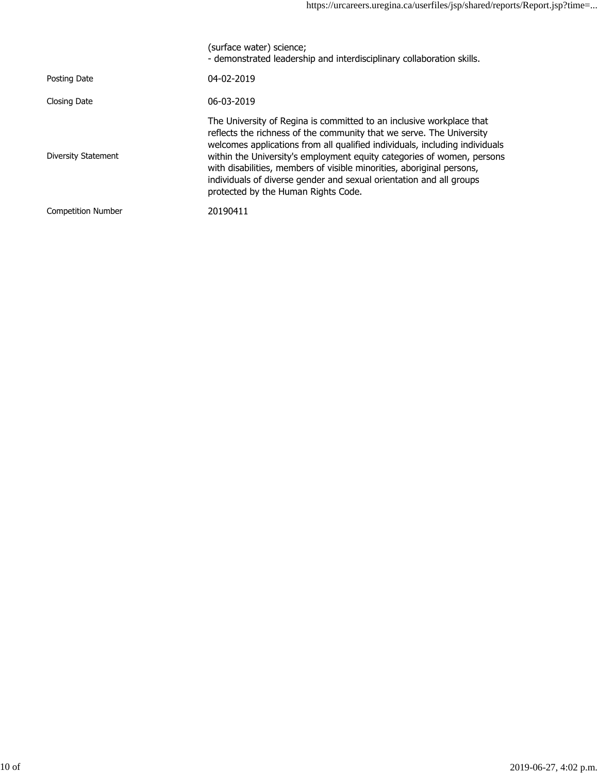|                           | (surface water) science;<br>- demonstrated leadership and interdisciplinary collaboration skills.                                                                                                                                                                                                                                                                                                                                                                                            |
|---------------------------|----------------------------------------------------------------------------------------------------------------------------------------------------------------------------------------------------------------------------------------------------------------------------------------------------------------------------------------------------------------------------------------------------------------------------------------------------------------------------------------------|
| Posting Date              | 04-02-2019                                                                                                                                                                                                                                                                                                                                                                                                                                                                                   |
| Closing Date              | 06-03-2019                                                                                                                                                                                                                                                                                                                                                                                                                                                                                   |
| Diversity Statement       | The University of Regina is committed to an inclusive workplace that<br>reflects the richness of the community that we serve. The University<br>welcomes applications from all qualified individuals, including individuals<br>within the University's employment equity categories of women, persons<br>with disabilities, members of visible minorities, aboriginal persons,<br>individuals of diverse gender and sexual orientation and all groups<br>protected by the Human Rights Code. |
| <b>Competition Number</b> | 20190411                                                                                                                                                                                                                                                                                                                                                                                                                                                                                     |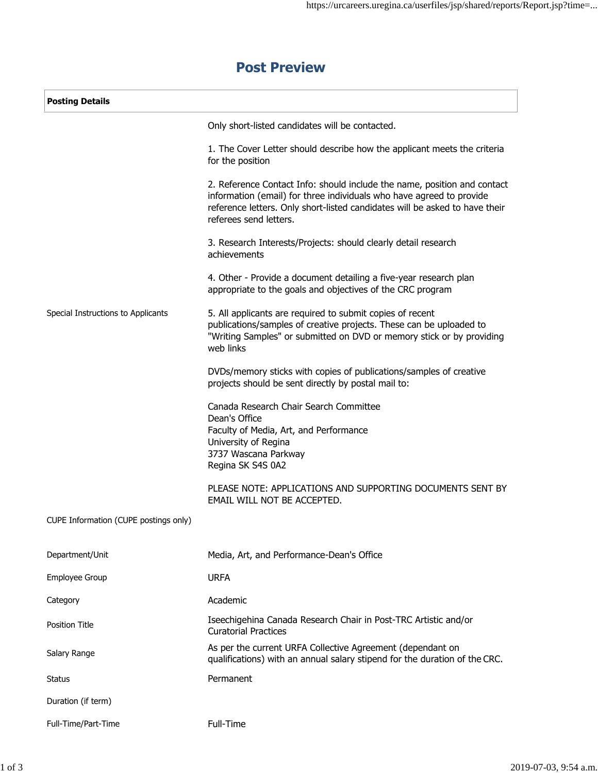# **Post Preview**

| <b>Posting Details</b>                |                                                                                                                                                                                                                                                           |  |
|---------------------------------------|-----------------------------------------------------------------------------------------------------------------------------------------------------------------------------------------------------------------------------------------------------------|--|
|                                       | Only short-listed candidates will be contacted.                                                                                                                                                                                                           |  |
|                                       | 1. The Cover Letter should describe how the applicant meets the criteria<br>for the position                                                                                                                                                              |  |
|                                       | 2. Reference Contact Info: should include the name, position and contact<br>information (email) for three individuals who have agreed to provide<br>reference letters. Only short-listed candidates will be asked to have their<br>referees send letters. |  |
|                                       | 3. Research Interests/Projects: should clearly detail research<br>achievements                                                                                                                                                                            |  |
|                                       | 4. Other - Provide a document detailing a five-year research plan<br>appropriate to the goals and objectives of the CRC program                                                                                                                           |  |
| Special Instructions to Applicants    | 5. All applicants are required to submit copies of recent<br>publications/samples of creative projects. These can be uploaded to<br>"Writing Samples" or submitted on DVD or memory stick or by providing<br>web links                                    |  |
|                                       | DVDs/memory sticks with copies of publications/samples of creative<br>projects should be sent directly by postal mail to:                                                                                                                                 |  |
|                                       | Canada Research Chair Search Committee<br>Dean's Office<br>Faculty of Media, Art, and Performance<br>University of Regina<br>3737 Wascana Parkway<br>Regina SK S4S 0A2                                                                                    |  |
|                                       | PLEASE NOTE: APPLICATIONS AND SUPPORTING DOCUMENTS SENT BY<br>EMAIL WILL NOT BE ACCEPTED.                                                                                                                                                                 |  |
| CUPE Information (CUPE postings only) |                                                                                                                                                                                                                                                           |  |
| Department/Unit                       | Media, Art, and Performance-Dean's Office                                                                                                                                                                                                                 |  |
| Employee Group                        | <b>URFA</b>                                                                                                                                                                                                                                               |  |
| Category                              | Academic                                                                                                                                                                                                                                                  |  |
| <b>Position Title</b>                 | Iseechigehina Canada Research Chair in Post-TRC Artistic and/or<br><b>Curatorial Practices</b>                                                                                                                                                            |  |
| Salary Range                          | As per the current URFA Collective Agreement (dependant on<br>qualifications) with an annual salary stipend for the duration of the CRC.                                                                                                                  |  |
| <b>Status</b>                         | Permanent                                                                                                                                                                                                                                                 |  |
| Duration (if term)                    |                                                                                                                                                                                                                                                           |  |
| Full-Time/Part-Time                   | Full-Time                                                                                                                                                                                                                                                 |  |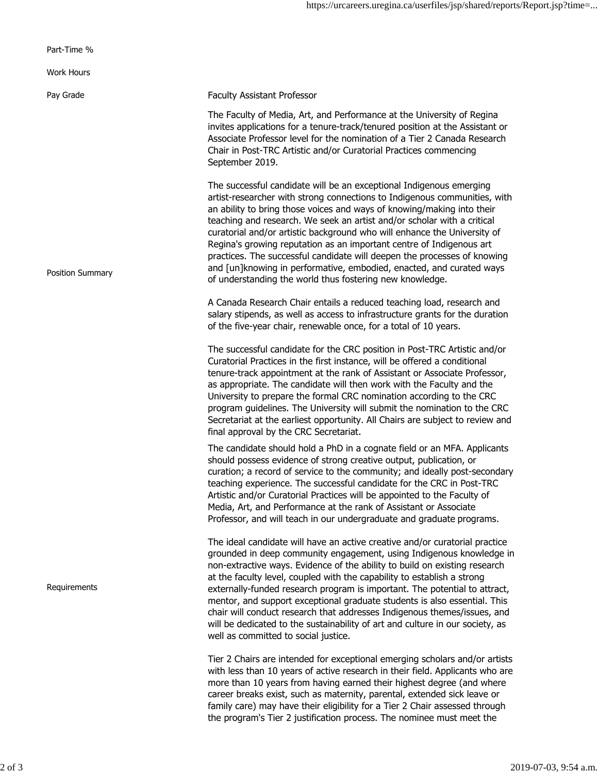| Part-Time %       |                                                                                                                                                                                                                                                                                                                                                                                                                                                                                                                                                                                                                                                                              |
|-------------------|------------------------------------------------------------------------------------------------------------------------------------------------------------------------------------------------------------------------------------------------------------------------------------------------------------------------------------------------------------------------------------------------------------------------------------------------------------------------------------------------------------------------------------------------------------------------------------------------------------------------------------------------------------------------------|
| <b>Work Hours</b> |                                                                                                                                                                                                                                                                                                                                                                                                                                                                                                                                                                                                                                                                              |
| Pay Grade         | <b>Faculty Assistant Professor</b>                                                                                                                                                                                                                                                                                                                                                                                                                                                                                                                                                                                                                                           |
|                   | The Faculty of Media, Art, and Performance at the University of Regina<br>invites applications for a tenure-track/tenured position at the Assistant or<br>Associate Professor level for the nomination of a Tier 2 Canada Research<br>Chair in Post-TRC Artistic and/or Curatorial Practices commencing<br>September 2019.                                                                                                                                                                                                                                                                                                                                                   |
| Position Summary  | The successful candidate will be an exceptional Indigenous emerging<br>artist-researcher with strong connections to Indigenous communities, with<br>an ability to bring those voices and ways of knowing/making into their<br>teaching and research. We seek an artist and/or scholar with a critical<br>curatorial and/or artistic background who will enhance the University of<br>Regina's growing reputation as an important centre of Indigenous art<br>practices. The successful candidate will deepen the processes of knowing<br>and [un]knowing in performative, embodied, enacted, and curated ways<br>of understanding the world thus fostering new knowledge.    |
|                   | A Canada Research Chair entails a reduced teaching load, research and<br>salary stipends, as well as access to infrastructure grants for the duration<br>of the five-year chair, renewable once, for a total of 10 years.                                                                                                                                                                                                                                                                                                                                                                                                                                                    |
|                   | The successful candidate for the CRC position in Post-TRC Artistic and/or<br>Curatorial Practices in the first instance, will be offered a conditional<br>tenure-track appointment at the rank of Assistant or Associate Professor,<br>as appropriate. The candidate will then work with the Faculty and the<br>University to prepare the formal CRC nomination according to the CRC<br>program guidelines. The University will submit the nomination to the CRC<br>Secretariat at the earliest opportunity. All Chairs are subject to review and<br>final approval by the CRC Secretariat.                                                                                  |
|                   | The candidate should hold a PhD in a cognate field or an MFA. Applicants<br>should possess evidence of strong creative output, publication, or<br>curation; a record of service to the community; and ideally post-secondary<br>teaching experience. The successful candidate for the CRC in Post-TRC<br>Artistic and/or Curatorial Practices will be appointed to the Faculty of<br>Media, Art, and Performance at the rank of Assistant or Associate<br>Professor, and will teach in our undergraduate and graduate programs.                                                                                                                                              |
| Requirements      | The ideal candidate will have an active creative and/or curatorial practice<br>grounded in deep community engagement, using Indigenous knowledge in<br>non-extractive ways. Evidence of the ability to build on existing research<br>at the faculty level, coupled with the capability to establish a strong<br>externally-funded research program is important. The potential to attract,<br>mentor, and support exceptional graduate students is also essential. This<br>chair will conduct research that addresses Indigenous themes/issues, and<br>will be dedicated to the sustainability of art and culture in our society, as<br>well as committed to social justice. |
|                   | Tier 2 Chairs are intended for exceptional emerging scholars and/or artists<br>with less than 10 years of active research in their field. Applicants who are<br>more than 10 years from having earned their highest degree (and where<br>career breaks exist, such as maternity, parental, extended sick leave or<br>family care) may have their eligibility for a Tier 2 Chair assessed through<br>the program's Tier 2 justification process. The nominee must meet the                                                                                                                                                                                                    |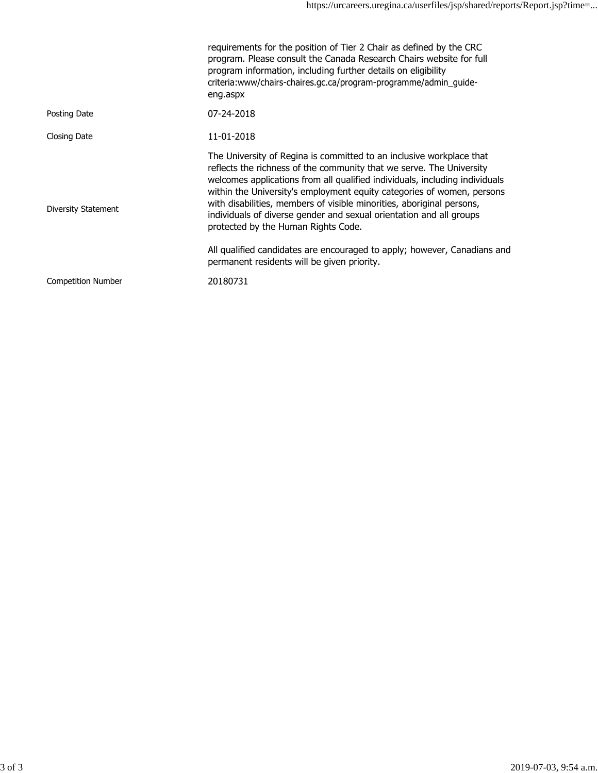|                           | requirements for the position of Tier 2 Chair as defined by the CRC<br>program. Please consult the Canada Research Chairs website for full<br>program information, including further details on eligibility<br>criteria:www/chairs-chaires.gc.ca/program-programme/admin_guide-<br>eng.aspx                                                                                                                                                                                                                                                                                                                             |
|---------------------------|-------------------------------------------------------------------------------------------------------------------------------------------------------------------------------------------------------------------------------------------------------------------------------------------------------------------------------------------------------------------------------------------------------------------------------------------------------------------------------------------------------------------------------------------------------------------------------------------------------------------------|
| Posting Date              | 07-24-2018                                                                                                                                                                                                                                                                                                                                                                                                                                                                                                                                                                                                              |
| Closing Date              | 11-01-2018                                                                                                                                                                                                                                                                                                                                                                                                                                                                                                                                                                                                              |
| Diversity Statement       | The University of Regina is committed to an inclusive workplace that<br>reflects the richness of the community that we serve. The University<br>welcomes applications from all qualified individuals, including individuals<br>within the University's employment equity categories of women, persons<br>with disabilities, members of visible minorities, aboriginal persons,<br>individuals of diverse gender and sexual orientation and all groups<br>protected by the Human Rights Code.<br>All qualified candidates are encouraged to apply; however, Canadians and<br>permanent residents will be given priority. |
|                           |                                                                                                                                                                                                                                                                                                                                                                                                                                                                                                                                                                                                                         |
| <b>Competition Number</b> | 20180731                                                                                                                                                                                                                                                                                                                                                                                                                                                                                                                                                                                                                |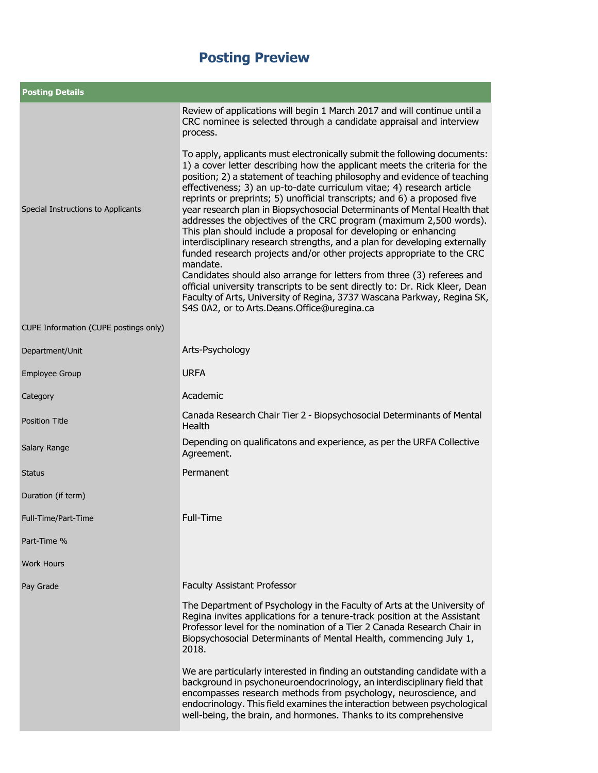| <b>Posting Details</b>                |                                                                                                                                                                                                                                                                                                                                                                                                                                                                                                                                                                                                                                                                                                                                                                                                                                                          |  |
|---------------------------------------|----------------------------------------------------------------------------------------------------------------------------------------------------------------------------------------------------------------------------------------------------------------------------------------------------------------------------------------------------------------------------------------------------------------------------------------------------------------------------------------------------------------------------------------------------------------------------------------------------------------------------------------------------------------------------------------------------------------------------------------------------------------------------------------------------------------------------------------------------------|--|
| Special Instructions to Applicants    | Review of applications will begin 1 March 2017 and will continue until a<br>CRC nominee is selected through a candidate appraisal and interview<br>process.<br>To apply, applicants must electronically submit the following documents:<br>1) a cover letter describing how the applicant meets the criteria for the<br>position; 2) a statement of teaching philosophy and evidence of teaching<br>effectiveness; 3) an up-to-date curriculum vitae; 4) research article<br>reprints or preprints; 5) unofficial transcripts; and 6) a proposed five<br>year research plan in Biopsychosocial Determinants of Mental Health that<br>addresses the objectives of the CRC program (maximum 2,500 words).<br>This plan should include a proposal for developing or enhancing<br>interdisciplinary research strengths, and a plan for developing externally |  |
|                                       | funded research projects and/or other projects appropriate to the CRC<br>mandate.<br>Candidates should also arrange for letters from three (3) referees and<br>official university transcripts to be sent directly to: Dr. Rick Kleer, Dean<br>Faculty of Arts, University of Regina, 3737 Wascana Parkway, Regina SK,<br>S4S 0A2, or to Arts.Deans.Office@uregina.ca                                                                                                                                                                                                                                                                                                                                                                                                                                                                                    |  |
| CUPE Information (CUPE postings only) |                                                                                                                                                                                                                                                                                                                                                                                                                                                                                                                                                                                                                                                                                                                                                                                                                                                          |  |
| Department/Unit                       | Arts-Psychology                                                                                                                                                                                                                                                                                                                                                                                                                                                                                                                                                                                                                                                                                                                                                                                                                                          |  |
| <b>Employee Group</b>                 | <b>URFA</b>                                                                                                                                                                                                                                                                                                                                                                                                                                                                                                                                                                                                                                                                                                                                                                                                                                              |  |
| Category                              | Academic                                                                                                                                                                                                                                                                                                                                                                                                                                                                                                                                                                                                                                                                                                                                                                                                                                                 |  |
| <b>Position Title</b>                 | Canada Research Chair Tier 2 - Biopsychosocial Determinants of Mental<br><b>Health</b>                                                                                                                                                                                                                                                                                                                                                                                                                                                                                                                                                                                                                                                                                                                                                                   |  |
| Salary Range                          | Depending on qualificatons and experience, as per the URFA Collective<br>Agreement.                                                                                                                                                                                                                                                                                                                                                                                                                                                                                                                                                                                                                                                                                                                                                                      |  |
| <b>Status</b>                         | Permanent                                                                                                                                                                                                                                                                                                                                                                                                                                                                                                                                                                                                                                                                                                                                                                                                                                                |  |
| Duration (if term)                    |                                                                                                                                                                                                                                                                                                                                                                                                                                                                                                                                                                                                                                                                                                                                                                                                                                                          |  |
| Full-Time/Part-Time                   | Full-Time                                                                                                                                                                                                                                                                                                                                                                                                                                                                                                                                                                                                                                                                                                                                                                                                                                                |  |
| Part-Time %                           |                                                                                                                                                                                                                                                                                                                                                                                                                                                                                                                                                                                                                                                                                                                                                                                                                                                          |  |
| <b>Work Hours</b>                     |                                                                                                                                                                                                                                                                                                                                                                                                                                                                                                                                                                                                                                                                                                                                                                                                                                                          |  |
| Pay Grade                             | <b>Faculty Assistant Professor</b>                                                                                                                                                                                                                                                                                                                                                                                                                                                                                                                                                                                                                                                                                                                                                                                                                       |  |
|                                       | The Department of Psychology in the Faculty of Arts at the University of<br>Regina invites applications for a tenure-track position at the Assistant<br>Professor level for the nomination of a Tier 2 Canada Research Chair in<br>Biopsychosocial Determinants of Mental Health, commencing July 1,<br>2018.                                                                                                                                                                                                                                                                                                                                                                                                                                                                                                                                            |  |
|                                       | We are particularly interested in finding an outstanding candidate with a<br>background in psychoneuroendocrinology, an interdisciplinary field that<br>encompasses research methods from psychology, neuroscience, and<br>endocrinology. This field examines the interaction between psychological<br>well-being, the brain, and hormones. Thanks to its comprehensive                                                                                                                                                                                                                                                                                                                                                                                                                                                                                  |  |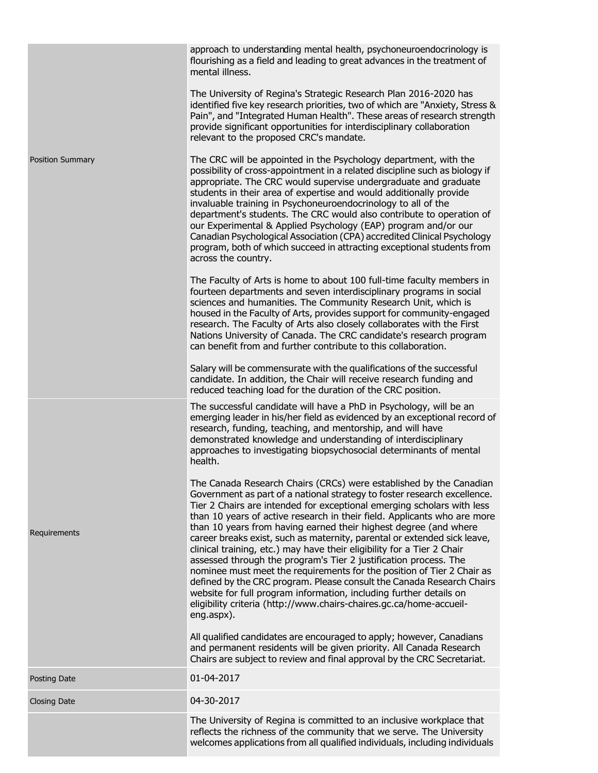|                         | approach to understanding mental health, psychoneuroendocrinology is<br>flourishing as a field and leading to great advances in the treatment of<br>mental illness.                                                                                                                                                                                                                                                                                                                                                                                                                                                                                                                                                                                                                                                                                                                                              |
|-------------------------|------------------------------------------------------------------------------------------------------------------------------------------------------------------------------------------------------------------------------------------------------------------------------------------------------------------------------------------------------------------------------------------------------------------------------------------------------------------------------------------------------------------------------------------------------------------------------------------------------------------------------------------------------------------------------------------------------------------------------------------------------------------------------------------------------------------------------------------------------------------------------------------------------------------|
|                         | The University of Regina's Strategic Research Plan 2016-2020 has<br>identified five key research priorities, two of which are "Anxiety, Stress &<br>Pain", and "Integrated Human Health". These areas of research strength<br>provide significant opportunities for interdisciplinary collaboration<br>relevant to the proposed CRC's mandate.                                                                                                                                                                                                                                                                                                                                                                                                                                                                                                                                                                   |
| <b>Position Summary</b> | The CRC will be appointed in the Psychology department, with the<br>possibility of cross-appointment in a related discipline such as biology if<br>appropriate. The CRC would supervise undergraduate and graduate<br>students in their area of expertise and would additionally provide<br>invaluable training in Psychoneuroendocrinology to all of the<br>department's students. The CRC would also contribute to operation of<br>our Experimental & Applied Psychology (EAP) program and/or our<br>Canadian Psychological Association (CPA) accredited Clinical Psychology<br>program, both of which succeed in attracting exceptional students from<br>across the country.                                                                                                                                                                                                                                  |
|                         | The Faculty of Arts is home to about 100 full-time faculty members in<br>fourteen departments and seven interdisciplinary programs in social<br>sciences and humanities. The Community Research Unit, which is<br>housed in the Faculty of Arts, provides support for community-engaged<br>research. The Faculty of Arts also closely collaborates with the First<br>Nations University of Canada. The CRC candidate's research program<br>can benefit from and further contribute to this collaboration.                                                                                                                                                                                                                                                                                                                                                                                                        |
|                         | Salary will be commensurate with the qualifications of the successful<br>candidate. In addition, the Chair will receive research funding and<br>reduced teaching load for the duration of the CRC position.                                                                                                                                                                                                                                                                                                                                                                                                                                                                                                                                                                                                                                                                                                      |
|                         | The successful candidate will have a PhD in Psychology, will be an<br>emerging leader in his/her field as evidenced by an exceptional record of<br>research, funding, teaching, and mentorship, and will have<br>demonstrated knowledge and understanding of interdisciplinary<br>approaches to investigating biopsychosocial determinants of mental<br>health.                                                                                                                                                                                                                                                                                                                                                                                                                                                                                                                                                  |
| Requirements            | The Canada Research Chairs (CRCs) were established by the Canadian<br>Government as part of a national strategy to foster research excellence.<br>Tier 2 Chairs are intended for exceptional emerging scholars with less<br>than 10 years of active research in their field. Applicants who are more<br>than 10 years from having earned their highest degree (and where<br>career breaks exist, such as maternity, parental or extended sick leave,<br>clinical training, etc.) may have their eligibility for a Tier 2 Chair<br>assessed through the program's Tier 2 justification process. The<br>nominee must meet the requirements for the position of Tier 2 Chair as<br>defined by the CRC program. Please consult the Canada Research Chairs<br>website for full program information, including further details on<br>eligibility criteria (http://www.chairs-chaires.gc.ca/home-accueil-<br>eng.aspx). |
|                         | All qualified candidates are encouraged to apply; however, Canadians<br>and permanent residents will be given priority. All Canada Research<br>Chairs are subject to review and final approval by the CRC Secretariat.                                                                                                                                                                                                                                                                                                                                                                                                                                                                                                                                                                                                                                                                                           |
| Posting Date            | 01-04-2017                                                                                                                                                                                                                                                                                                                                                                                                                                                                                                                                                                                                                                                                                                                                                                                                                                                                                                       |
| <b>Closing Date</b>     | 04-30-2017                                                                                                                                                                                                                                                                                                                                                                                                                                                                                                                                                                                                                                                                                                                                                                                                                                                                                                       |
|                         | The University of Regina is committed to an inclusive workplace that<br>reflects the richness of the community that we serve. The University<br>welcomes applications from all qualified individuals, including individuals                                                                                                                                                                                                                                                                                                                                                                                                                                                                                                                                                                                                                                                                                      |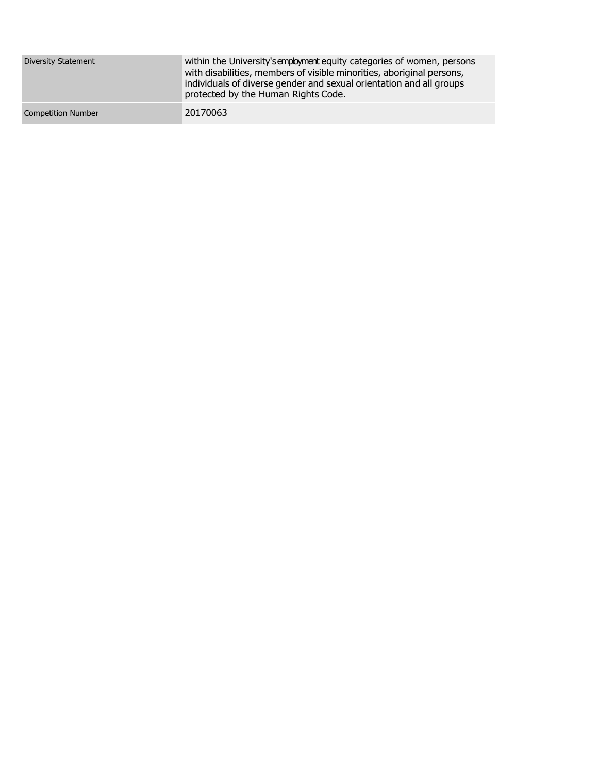| Diversity Statement       | within the University's employment equity categories of women, persons<br>with disabilities, members of visible minorities, aboriginal persons,<br>individuals of diverse gender and sexual orientation and all groups<br>protected by the Human Rights Code. |
|---------------------------|---------------------------------------------------------------------------------------------------------------------------------------------------------------------------------------------------------------------------------------------------------------|
| <b>Competition Number</b> | 20170063                                                                                                                                                                                                                                                      |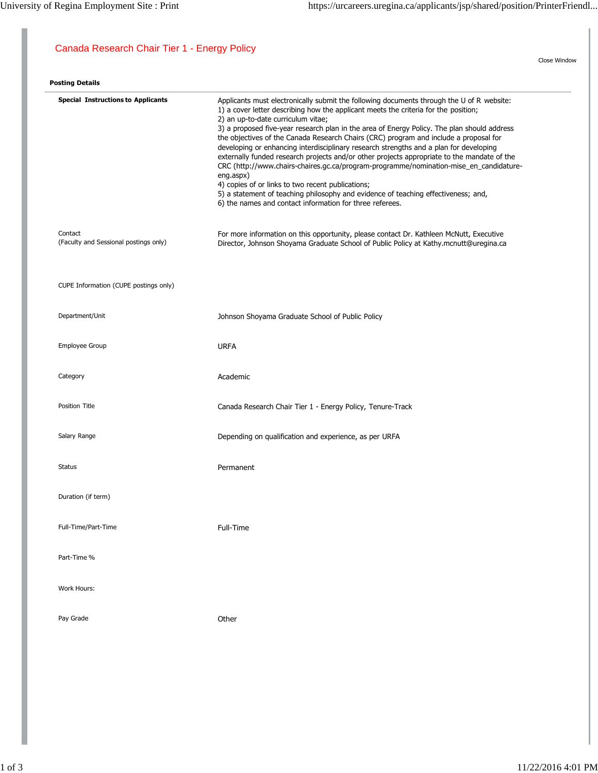Close Window

## Canada Research Chair Tier 1 - Energy Policy

| <b>Posting Details</b>                           |                                                                                                                                                                                                                                                                                                                                                                                                                                                                                                                                                                                                                                                                                                                                                                                                                                                                                                                       |
|--------------------------------------------------|-----------------------------------------------------------------------------------------------------------------------------------------------------------------------------------------------------------------------------------------------------------------------------------------------------------------------------------------------------------------------------------------------------------------------------------------------------------------------------------------------------------------------------------------------------------------------------------------------------------------------------------------------------------------------------------------------------------------------------------------------------------------------------------------------------------------------------------------------------------------------------------------------------------------------|
| <b>Special Instructions to Applicants</b>        | Applicants must electronically submit the following documents through the U of R website:<br>1) a cover letter describing how the applicant meets the criteria for the position;<br>2) an up-to-date curriculum vitae;<br>3) a proposed five-year research plan in the area of Energy Policy. The plan should address<br>the objectives of the Canada Research Chairs (CRC) program and include a proposal for<br>developing or enhancing interdisciplinary research strengths and a plan for developing<br>externally funded research projects and/or other projects appropriate to the mandate of the<br>CRC (http://www.chairs-chaires.gc.ca/program-programme/nomination-mise_en_candidature-<br>eng.aspx)<br>4) copies of or links to two recent publications;<br>5) a statement of teaching philosophy and evidence of teaching effectiveness; and,<br>6) the names and contact information for three referees. |
| Contact<br>(Faculty and Sessional postings only) | For more information on this opportunity, please contact Dr. Kathleen McNutt, Executive<br>Director, Johnson Shoyama Graduate School of Public Policy at Kathy.mcnutt@uregina.ca                                                                                                                                                                                                                                                                                                                                                                                                                                                                                                                                                                                                                                                                                                                                      |
| CUPE Information (CUPE postings only)            |                                                                                                                                                                                                                                                                                                                                                                                                                                                                                                                                                                                                                                                                                                                                                                                                                                                                                                                       |
| Department/Unit                                  | Johnson Shoyama Graduate School of Public Policy                                                                                                                                                                                                                                                                                                                                                                                                                                                                                                                                                                                                                                                                                                                                                                                                                                                                      |
| Employee Group                                   | <b>URFA</b>                                                                                                                                                                                                                                                                                                                                                                                                                                                                                                                                                                                                                                                                                                                                                                                                                                                                                                           |
| Category                                         | Academic                                                                                                                                                                                                                                                                                                                                                                                                                                                                                                                                                                                                                                                                                                                                                                                                                                                                                                              |
| Position Title                                   | Canada Research Chair Tier 1 - Energy Policy, Tenure-Track                                                                                                                                                                                                                                                                                                                                                                                                                                                                                                                                                                                                                                                                                                                                                                                                                                                            |
| Salary Range                                     | Depending on qualification and experience, as per URFA                                                                                                                                                                                                                                                                                                                                                                                                                                                                                                                                                                                                                                                                                                                                                                                                                                                                |
| <b>Status</b>                                    | Permanent                                                                                                                                                                                                                                                                                                                                                                                                                                                                                                                                                                                                                                                                                                                                                                                                                                                                                                             |
| Duration (if term)                               |                                                                                                                                                                                                                                                                                                                                                                                                                                                                                                                                                                                                                                                                                                                                                                                                                                                                                                                       |
| Full-Time/Part-Time                              | Full-Time                                                                                                                                                                                                                                                                                                                                                                                                                                                                                                                                                                                                                                                                                                                                                                                                                                                                                                             |
| Part-Time %                                      |                                                                                                                                                                                                                                                                                                                                                                                                                                                                                                                                                                                                                                                                                                                                                                                                                                                                                                                       |
| Work Hours:                                      |                                                                                                                                                                                                                                                                                                                                                                                                                                                                                                                                                                                                                                                                                                                                                                                                                                                                                                                       |
| Pay Grade                                        | Other                                                                                                                                                                                                                                                                                                                                                                                                                                                                                                                                                                                                                                                                                                                                                                                                                                                                                                                 |
|                                                  |                                                                                                                                                                                                                                                                                                                                                                                                                                                                                                                                                                                                                                                                                                                                                                                                                                                                                                                       |
|                                                  |                                                                                                                                                                                                                                                                                                                                                                                                                                                                                                                                                                                                                                                                                                                                                                                                                                                                                                                       |
|                                                  |                                                                                                                                                                                                                                                                                                                                                                                                                                                                                                                                                                                                                                                                                                                                                                                                                                                                                                                       |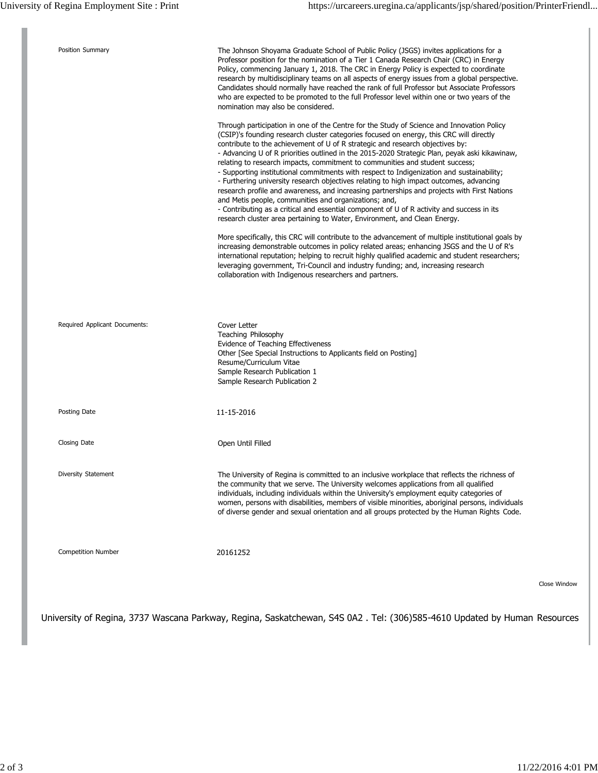| Position Summary              | The Johnson Shoyama Graduate School of Public Policy (JSGS) invites applications for a<br>Professor position for the nomination of a Tier 1 Canada Research Chair (CRC) in Energy<br>Policy, commencing January 1, 2018. The CRC in Energy Policy is expected to coordinate<br>research by multidisciplinary teams on all aspects of energy issues from a global perspective.<br>Candidates should normally have reached the rank of full Professor but Associate Professors<br>who are expected to be promoted to the full Professor level within one or two years of the<br>nomination may also be considered.<br>Through participation in one of the Centre for the Study of Science and Innovation Policy<br>(CSIP)'s founding research cluster categories focused on energy, this CRC will directly<br>contribute to the achievement of U of R strategic and research objectives by:<br>- Advancing U of R priorities outlined in the 2015-2020 Strategic Plan, peyak aski kikawinaw,<br>relating to research impacts, commitment to communities and student success;<br>- Supporting institutional commitments with respect to Indigenization and sustainability;<br>- Furthering university research objectives relating to high impact outcomes, advancing<br>research profile and awareness, and increasing partnerships and projects with First Nations<br>and Metis people, communities and organizations; and,<br>- Contributing as a critical and essential component of U of R activity and success in its<br>research cluster area pertaining to Water, Environment, and Clean Energy.<br>More specifically, this CRC will contribute to the advancement of multiple institutional goals by<br>increasing demonstrable outcomes in policy related areas; enhancing JSGS and the U of R's<br>international reputation; helping to recruit highly qualified academic and student researchers;<br>leveraging government, Tri-Council and industry funding; and, increasing research<br>collaboration with Indigenous researchers and partners. |              |
|-------------------------------|------------------------------------------------------------------------------------------------------------------------------------------------------------------------------------------------------------------------------------------------------------------------------------------------------------------------------------------------------------------------------------------------------------------------------------------------------------------------------------------------------------------------------------------------------------------------------------------------------------------------------------------------------------------------------------------------------------------------------------------------------------------------------------------------------------------------------------------------------------------------------------------------------------------------------------------------------------------------------------------------------------------------------------------------------------------------------------------------------------------------------------------------------------------------------------------------------------------------------------------------------------------------------------------------------------------------------------------------------------------------------------------------------------------------------------------------------------------------------------------------------------------------------------------------------------------------------------------------------------------------------------------------------------------------------------------------------------------------------------------------------------------------------------------------------------------------------------------------------------------------------------------------------------------------------------------------------------------------------------------------------------------------------------------------------------|--------------|
| Required Applicant Documents: | Cover Letter<br>Teaching Philosophy<br>Evidence of Teaching Effectiveness<br>Other [See Special Instructions to Applicants field on Posting]<br>Resume/Curriculum Vitae<br>Sample Research Publication 1<br>Sample Research Publication 2                                                                                                                                                                                                                                                                                                                                                                                                                                                                                                                                                                                                                                                                                                                                                                                                                                                                                                                                                                                                                                                                                                                                                                                                                                                                                                                                                                                                                                                                                                                                                                                                                                                                                                                                                                                                                  |              |
| Posting Date                  | 11-15-2016                                                                                                                                                                                                                                                                                                                                                                                                                                                                                                                                                                                                                                                                                                                                                                                                                                                                                                                                                                                                                                                                                                                                                                                                                                                                                                                                                                                                                                                                                                                                                                                                                                                                                                                                                                                                                                                                                                                                                                                                                                                 |              |
| Closing Date                  | Open Until Filled                                                                                                                                                                                                                                                                                                                                                                                                                                                                                                                                                                                                                                                                                                                                                                                                                                                                                                                                                                                                                                                                                                                                                                                                                                                                                                                                                                                                                                                                                                                                                                                                                                                                                                                                                                                                                                                                                                                                                                                                                                          |              |
| Diversity Statement           | The University of Regina is committed to an inclusive workplace that reflects the richness of<br>the community that we serve. The University welcomes applications from all qualified<br>individuals, including individuals within the University's employment equity categories of<br>women, persons with disabilities, members of visible minorities, aboriginal persons, individuals<br>of diverse gender and sexual orientation and all groups protected by the Human Rights Code.                                                                                                                                                                                                                                                                                                                                                                                                                                                                                                                                                                                                                                                                                                                                                                                                                                                                                                                                                                                                                                                                                                                                                                                                                                                                                                                                                                                                                                                                                                                                                                     |              |
| <b>Competition Number</b>     | 20161252                                                                                                                                                                                                                                                                                                                                                                                                                                                                                                                                                                                                                                                                                                                                                                                                                                                                                                                                                                                                                                                                                                                                                                                                                                                                                                                                                                                                                                                                                                                                                                                                                                                                                                                                                                                                                                                                                                                                                                                                                                                   |              |
|                               |                                                                                                                                                                                                                                                                                                                                                                                                                                                                                                                                                                                                                                                                                                                                                                                                                                                                                                                                                                                                                                                                                                                                                                                                                                                                                                                                                                                                                                                                                                                                                                                                                                                                                                                                                                                                                                                                                                                                                                                                                                                            | Close Window |

University of Regina, 3737 Wascana Parkway, Regina, Saskatchewan, S4S 0A2 . Tel: (306)585-4610 Updated by Human Resources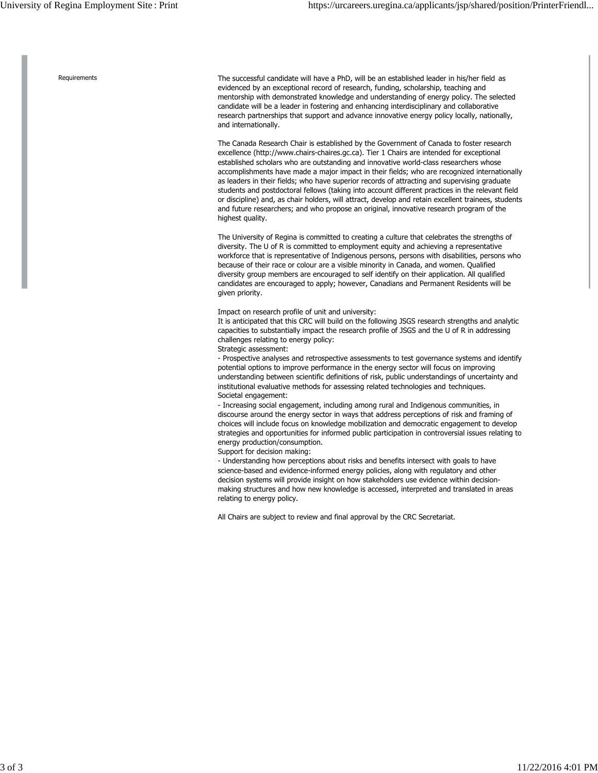Requirements The successful candidate will have a PhD, will be an established leader in his/her field as evidenced by an exceptional record of research, funding, scholarship, teaching and mentorship with demonstrated knowledge and understanding of energy policy. The selected candidate will be a leader in fostering and enhancing interdisciplinary and collaborative research partnerships that support and advance innovative energy policy locally, nationally, and internationally.

> The Canada Research Chair is established by the Government of Canada to foster research excellence (http://www.chairs-chaires.gc.ca). Tier 1 Chairs are intended for exceptional established scholars who are outstanding and innovative world-class researchers whose accomplishments have made a major impact in their fields; who are recognized internationally as leaders in their fields; who have superior records of attracting and supervising graduate students and postdoctoral fellows (taking into account different practices in the relevant field or discipline) and, as chair holders, will attract, develop and retain excellent trainees, students and future researchers; and who propose an original, innovative research program of the highest quality.

> The University of Regina is committed to creating a culture that celebrates the strengths of diversity. The U of R is committed to employment equity and achieving a representative workforce that is representative of Indigenous persons, persons with disabilities, persons who because of their race or colour are a visible minority in Canada, and women. Qualified diversity group members are encouraged to self identify on their application. All qualified candidates are encouraged to apply; however, Canadians and Permanent Residents will be given priority.

Impact on research profile of unit and university:

It is anticipated that this CRC will build on the following JSGS research strengths and analytic capacities to substantially impact the research profile of JSGS and the U of R in addressing challenges relating to energy policy:

Strategic assessment:

- Prospective analyses and retrospective assessments to test governance systems and identify potential options to improve performance in the energy sector will focus on improving understanding between scientific definitions of risk, public understandings of uncertainty and institutional evaluative methods for assessing related technologies and techniques. Societal engagement:

- Increasing social engagement, including among rural and Indigenous communities, in discourse around the energy sector in ways that address perceptions of risk and framing of choices will include focus on knowledge mobilization and democratic engagement to develop strategies and opportunities for informed public participation in controversial issues relating to energy production/consumption.

Support for decision making:

- Understanding how perceptions about risks and benefits intersect with goals to have science-based and evidence-informed energy policies, along with regulatory and other decision systems will provide insight on how stakeholders use evidence within decisionmaking structures and how new knowledge is accessed, interpreted and translated in areas relating to energy policy.

All Chairs are subject to review and final approval by the CRC Secretariat.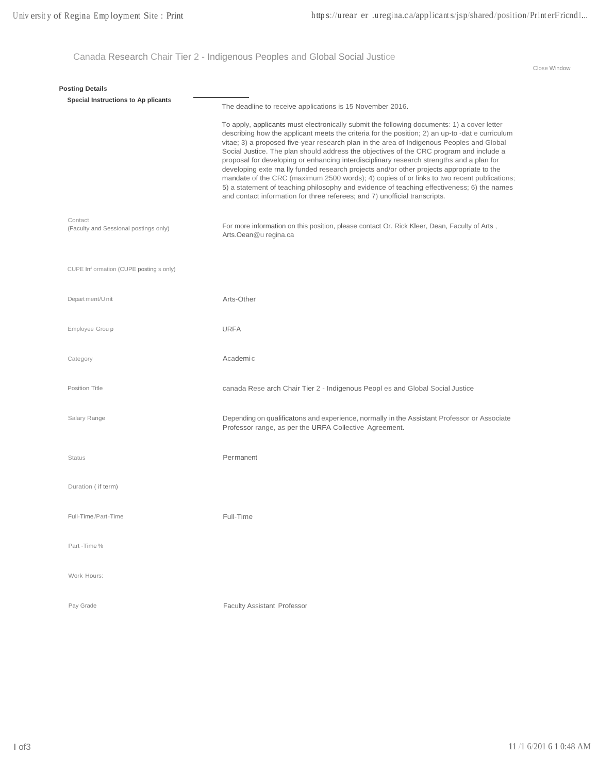Canada Research Chair Tier 2 - Indigenous Peoples and Global Social Justice

Close Window

| <b>Posting Details</b>                           |                                                                                                                                                                                                                                                                                                                                                                                                                                                                                                                                                                                                                                                                                                                                                                                                                                                         |
|--------------------------------------------------|---------------------------------------------------------------------------------------------------------------------------------------------------------------------------------------------------------------------------------------------------------------------------------------------------------------------------------------------------------------------------------------------------------------------------------------------------------------------------------------------------------------------------------------------------------------------------------------------------------------------------------------------------------------------------------------------------------------------------------------------------------------------------------------------------------------------------------------------------------|
| Special Instructions to Ap plicants              | The deadline to receive applications is 15 November 2016.                                                                                                                                                                                                                                                                                                                                                                                                                                                                                                                                                                                                                                                                                                                                                                                               |
|                                                  | To apply, applicants must electronically submit the following documents: 1) a cover letter<br>describing how the applicant meets the criteria for the position; 2) an up-to-dat e curriculum<br>vitae; 3) a proposed five-year research plan in the area of Indigenous Peoples and Global<br>Social Justice. The plan should address the objectives of the CRC program and include a<br>proposal for developing or enhancing interdisciplinary research strengths and a plan for<br>developing exte rna lly funded research projects and/or other projects appropriate to the<br>mandate of the CRC (maximum 2500 words); 4) copies of or links to two recent publications;<br>5) a statement of teaching philosophy and evidence of teaching effectiveness; 6) the names<br>and contact information for three referees; and 7) unofficial transcripts. |
| Contact<br>(Faculty and Sessional postings only) | For more information on this position, please contact Or. Rick Kleer, Dean, Faculty of Arts,<br>Arts.Oean@u regina.ca                                                                                                                                                                                                                                                                                                                                                                                                                                                                                                                                                                                                                                                                                                                                   |
| CUPE Inf ormation (CUPE posting s only)          |                                                                                                                                                                                                                                                                                                                                                                                                                                                                                                                                                                                                                                                                                                                                                                                                                                                         |
| Depart ment/Unit                                 | Arts-Other                                                                                                                                                                                                                                                                                                                                                                                                                                                                                                                                                                                                                                                                                                                                                                                                                                              |
| Employee Group                                   | <b>URFA</b>                                                                                                                                                                                                                                                                                                                                                                                                                                                                                                                                                                                                                                                                                                                                                                                                                                             |
| Category                                         | Academic                                                                                                                                                                                                                                                                                                                                                                                                                                                                                                                                                                                                                                                                                                                                                                                                                                                |
| Position Title                                   | canada Rese arch Chair Tier 2 - Indigenous Peopl es and Global Social Justice                                                                                                                                                                                                                                                                                                                                                                                                                                                                                                                                                                                                                                                                                                                                                                           |
| Salary Range                                     | Depending on qualificatons and experience, normally in the Assistant Professor or Associate<br>Professor range, as per the URFA Collective Agreement.                                                                                                                                                                                                                                                                                                                                                                                                                                                                                                                                                                                                                                                                                                   |
| <b>Status</b>                                    | Permanent                                                                                                                                                                                                                                                                                                                                                                                                                                                                                                                                                                                                                                                                                                                                                                                                                                               |
| Duration (if term)                               |                                                                                                                                                                                                                                                                                                                                                                                                                                                                                                                                                                                                                                                                                                                                                                                                                                                         |
| Full-Time/Part-Time                              | Full-Time                                                                                                                                                                                                                                                                                                                                                                                                                                                                                                                                                                                                                                                                                                                                                                                                                                               |
| Part -Time%                                      |                                                                                                                                                                                                                                                                                                                                                                                                                                                                                                                                                                                                                                                                                                                                                                                                                                                         |
| Work Hours:                                      |                                                                                                                                                                                                                                                                                                                                                                                                                                                                                                                                                                                                                                                                                                                                                                                                                                                         |
| Pay Grade                                        | <b>Faculty Assistant Professor</b>                                                                                                                                                                                                                                                                                                                                                                                                                                                                                                                                                                                                                                                                                                                                                                                                                      |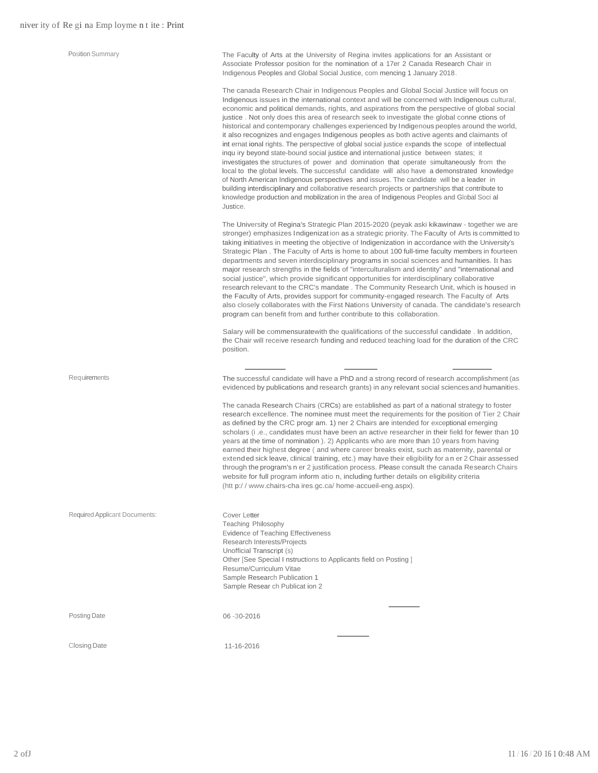| <b>Position Summary</b>       | The Faculty of Arts at the University of Regina invites applications for an Assistant or<br>Associate Professor position for the nomination of a 17er 2 Canada Research Chair in<br>Indigenous Peoples and Global Social Justice, com mencing 1 January 2018.<br>The canada Research Chair in Indigenous Peoples and Global Social Justice will focus on<br>Indigenous issues in the international context and will be concerned with Indigenous cultural,<br>economic and political demands, rights, and aspirations from the perspective of global social<br>justice. Not only does this area of research seek to investigate the global conne ctions of<br>historical and contemporary challenges experienced by Indigenous peoples around the world,<br>it also recognizes and engages Indigenous peoples as both active agents and claimants of<br>int ernat ional rights. The perspective of global social justice expands the scope of intellectual<br>inqu iry beyond state-bound social justice and international justice between states; it<br>investigates the structures of power and domination that operate simultaneously from the<br>local to the global levels. The successful candidate will also have a demonstrated knowledge<br>of North American Indigenous perspectives and issues. The candidate will be a leader in<br>building interdisciplinary and collaborative research projects or partnerships that contribute to<br>knowledge production and mobilization in the area of Indigenous Peoples and Global Soci al<br>Justice. |
|-------------------------------|-------------------------------------------------------------------------------------------------------------------------------------------------------------------------------------------------------------------------------------------------------------------------------------------------------------------------------------------------------------------------------------------------------------------------------------------------------------------------------------------------------------------------------------------------------------------------------------------------------------------------------------------------------------------------------------------------------------------------------------------------------------------------------------------------------------------------------------------------------------------------------------------------------------------------------------------------------------------------------------------------------------------------------------------------------------------------------------------------------------------------------------------------------------------------------------------------------------------------------------------------------------------------------------------------------------------------------------------------------------------------------------------------------------------------------------------------------------------------------------------------------------------------------------------------------------|
|                               | The University of Regina's Strategic Plan 2015-2020 (peyak aski kikawinaw - together we are<br>stronger) emphasizes Indigenization as a strategic priority. The Faculty of Arts is committed to<br>taking initiatives in meeting the objective of Indigenization in accordance with the University's<br>Strategic Plan. The Faculty of Arts is home to about 100 full-time faculty members in fourteen<br>departments and seven interdisciplinary programs in social sciences and humanities. It has<br>major research strengths in the fields of "interculturalism and identity" and "international and<br>social justice", which provide significant opportunities for interdisciplinary collaborative<br>research relevant to the CRC's mandate. The Community Research Unit, which is housed in<br>the Faculty of Arts, provides support for community-engaged research. The Faculty of Arts<br>also closely collaborates with the First Nations University of canada. The candidate's research<br>program can benefit from and further contribute to this collaboration.                                                                                                                                                                                                                                                                                                                                                                                                                                                                               |
|                               | Salary will be commensuratewith the qualifications of the successful candidate . In addition,<br>the Chair will receive research funding and reduced teaching load for the duration of the CRC<br>position.                                                                                                                                                                                                                                                                                                                                                                                                                                                                                                                                                                                                                                                                                                                                                                                                                                                                                                                                                                                                                                                                                                                                                                                                                                                                                                                                                 |
| Requirements                  | The successful candidate will have a PhD and a strong record of research accomplishment (as<br>evidenced by publications and research grants) in any relevant social sciences and humanities.<br>The canada Research Chairs (CRCs) are established as part of a national strategy to foster<br>research excellence. The nominee must meet the requirements for the position of Tier 2 Chair<br>as defined by the CRC progr am. 1) ner 2 Chairs are intended for exceptional emerging<br>scholars (i .e., candidates must have been an active researcher in their field for fewer than 10<br>years at the time of nomination ). 2) Applicants who are more than 10 years from having<br>earned their highest degree (and where career breaks exist, such as maternity, parental or<br>extended sick leave, clinical training, etc.) may have their eligibility for an er 2 Chair assessed<br>through the program's n er 2 justification process. Please consult the canada Research Chairs<br>website for full program inform atio n, including further details on eligibility criteria<br>(htt p://www.chairs-chaires.gc.ca/home-accueil-eng.aspx).                                                                                                                                                                                                                                                                                                                                                                                                         |
| Required Applicant Documents: | Cover Letter<br>Teaching Philosophy<br>Evidence of Teaching Effectiveness<br>Research Interests/Projects<br>Unofficial Transcript (s)<br>Other [See Special I nstructions to Applicants field on Posting ]<br>Resume/Curriculum Vitae<br>Sample Research Publication 1<br>Sample Resear ch Publicat ion 2                                                                                                                                                                                                                                                                                                                                                                                                                                                                                                                                                                                                                                                                                                                                                                                                                                                                                                                                                                                                                                                                                                                                                                                                                                                   |
| <b>Posting Date</b>           | 06-30-2016                                                                                                                                                                                                                                                                                                                                                                                                                                                                                                                                                                                                                                                                                                                                                                                                                                                                                                                                                                                                                                                                                                                                                                                                                                                                                                                                                                                                                                                                                                                                                  |
| Closing Date                  | 11-16-2016                                                                                                                                                                                                                                                                                                                                                                                                                                                                                                                                                                                                                                                                                                                                                                                                                                                                                                                                                                                                                                                                                                                                                                                                                                                                                                                                                                                                                                                                                                                                                  |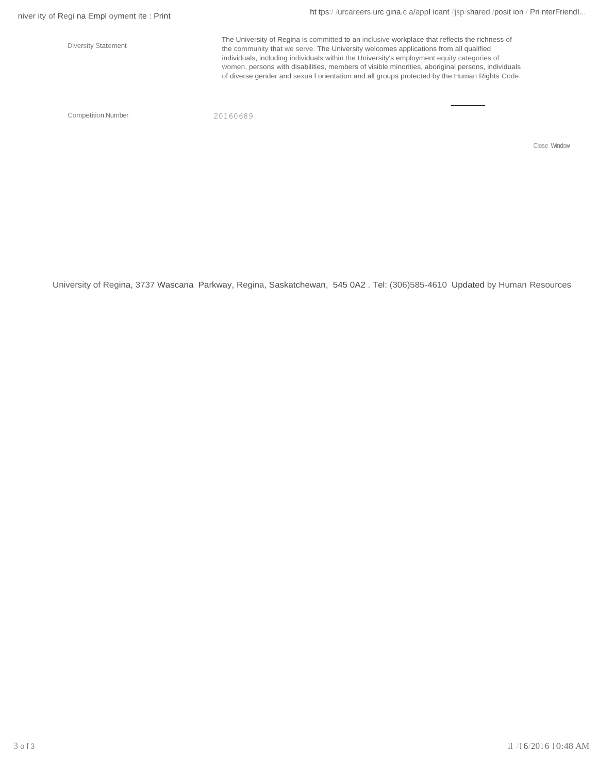Diversity Statement

ht tps://urcareers.urc gina.c a/appI icant/jsp/shared /posit ion / Pri nterFriendI...

The University of Regina is committed to an inclusive workplace that reflects the richness of the community that we serve. The University welcomes applications from all qualified individuals, including individuals within the University's employment equity categories of women, persons with disabilities, members of visible minorities, aboriginal persons, individuals of diverse gender and sexua l orientation and all groups protected by the Human Rights Code.

Competition Number 20160689

Close Window

University of Regina, 3737 Wascana Parkway, Regina, Saskatchewan, 545 0A2 . Tel: (306)585-4610 Updated by Human Resources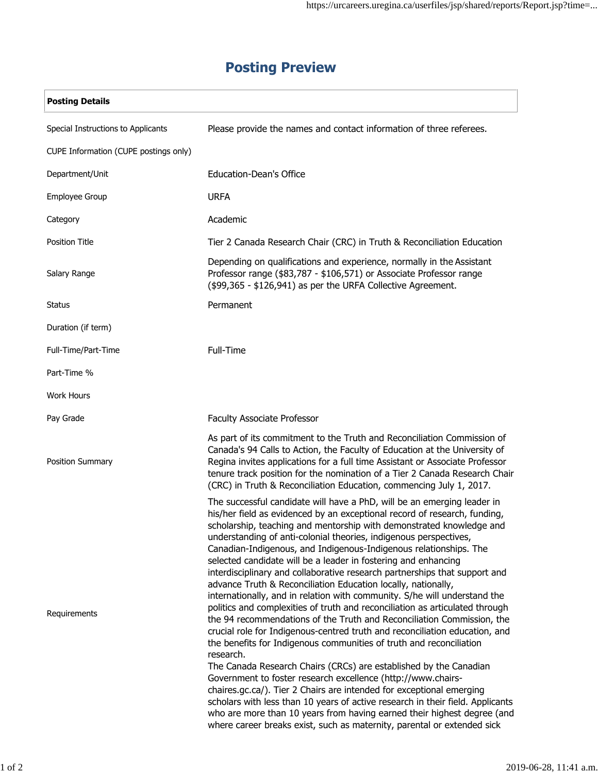| <b>Posting Details</b>                |                                                                                                                                                                                                                                                                                                                                                                                                                                                                                                                                                                                                                                                                                                                                                                                                                                                                                                                                                                                                                                                                                                                                                                                                                                                                                                                                                                                                                                                        |
|---------------------------------------|--------------------------------------------------------------------------------------------------------------------------------------------------------------------------------------------------------------------------------------------------------------------------------------------------------------------------------------------------------------------------------------------------------------------------------------------------------------------------------------------------------------------------------------------------------------------------------------------------------------------------------------------------------------------------------------------------------------------------------------------------------------------------------------------------------------------------------------------------------------------------------------------------------------------------------------------------------------------------------------------------------------------------------------------------------------------------------------------------------------------------------------------------------------------------------------------------------------------------------------------------------------------------------------------------------------------------------------------------------------------------------------------------------------------------------------------------------|
| Special Instructions to Applicants    | Please provide the names and contact information of three referees.                                                                                                                                                                                                                                                                                                                                                                                                                                                                                                                                                                                                                                                                                                                                                                                                                                                                                                                                                                                                                                                                                                                                                                                                                                                                                                                                                                                    |
| CUPE Information (CUPE postings only) |                                                                                                                                                                                                                                                                                                                                                                                                                                                                                                                                                                                                                                                                                                                                                                                                                                                                                                                                                                                                                                                                                                                                                                                                                                                                                                                                                                                                                                                        |
| Department/Unit                       | <b>Education-Dean's Office</b>                                                                                                                                                                                                                                                                                                                                                                                                                                                                                                                                                                                                                                                                                                                                                                                                                                                                                                                                                                                                                                                                                                                                                                                                                                                                                                                                                                                                                         |
| Employee Group                        | <b>URFA</b>                                                                                                                                                                                                                                                                                                                                                                                                                                                                                                                                                                                                                                                                                                                                                                                                                                                                                                                                                                                                                                                                                                                                                                                                                                                                                                                                                                                                                                            |
| Category                              | Academic                                                                                                                                                                                                                                                                                                                                                                                                                                                                                                                                                                                                                                                                                                                                                                                                                                                                                                                                                                                                                                                                                                                                                                                                                                                                                                                                                                                                                                               |
| <b>Position Title</b>                 | Tier 2 Canada Research Chair (CRC) in Truth & Reconciliation Education                                                                                                                                                                                                                                                                                                                                                                                                                                                                                                                                                                                                                                                                                                                                                                                                                                                                                                                                                                                                                                                                                                                                                                                                                                                                                                                                                                                 |
| Salary Range                          | Depending on qualifications and experience, normally in the Assistant<br>Professor range (\$83,787 - \$106,571) or Associate Professor range<br>(\$99,365 - \$126,941) as per the URFA Collective Agreement.                                                                                                                                                                                                                                                                                                                                                                                                                                                                                                                                                                                                                                                                                                                                                                                                                                                                                                                                                                                                                                                                                                                                                                                                                                           |
| Status                                | Permanent                                                                                                                                                                                                                                                                                                                                                                                                                                                                                                                                                                                                                                                                                                                                                                                                                                                                                                                                                                                                                                                                                                                                                                                                                                                                                                                                                                                                                                              |
| Duration (if term)                    |                                                                                                                                                                                                                                                                                                                                                                                                                                                                                                                                                                                                                                                                                                                                                                                                                                                                                                                                                                                                                                                                                                                                                                                                                                                                                                                                                                                                                                                        |
| Full-Time/Part-Time                   | Full-Time                                                                                                                                                                                                                                                                                                                                                                                                                                                                                                                                                                                                                                                                                                                                                                                                                                                                                                                                                                                                                                                                                                                                                                                                                                                                                                                                                                                                                                              |
| Part-Time %                           |                                                                                                                                                                                                                                                                                                                                                                                                                                                                                                                                                                                                                                                                                                                                                                                                                                                                                                                                                                                                                                                                                                                                                                                                                                                                                                                                                                                                                                                        |
| <b>Work Hours</b>                     |                                                                                                                                                                                                                                                                                                                                                                                                                                                                                                                                                                                                                                                                                                                                                                                                                                                                                                                                                                                                                                                                                                                                                                                                                                                                                                                                                                                                                                                        |
| Pay Grade                             | <b>Faculty Associate Professor</b>                                                                                                                                                                                                                                                                                                                                                                                                                                                                                                                                                                                                                                                                                                                                                                                                                                                                                                                                                                                                                                                                                                                                                                                                                                                                                                                                                                                                                     |
| Position Summary                      | As part of its commitment to the Truth and Reconciliation Commission of<br>Canada's 94 Calls to Action, the Faculty of Education at the University of<br>Regina invites applications for a full time Assistant or Associate Professor<br>tenure track position for the nomination of a Tier 2 Canada Research Chair<br>(CRC) in Truth & Reconciliation Education, commencing July 1, 2017.                                                                                                                                                                                                                                                                                                                                                                                                                                                                                                                                                                                                                                                                                                                                                                                                                                                                                                                                                                                                                                                             |
| Requirements                          | The successful candidate will have a PhD, will be an emerging leader in<br>his/her field as evidenced by an exceptional record of research, funding,<br>scholarship, teaching and mentorship with demonstrated knowledge and<br>understanding of anti-colonial theories, indigenous perspectives,<br>Canadian-Indigenous, and Indigenous-Indigenous relationships. The<br>selected candidate will be a leader in fostering and enhancing<br>interdisciplinary and collaborative research partnerships that support and<br>advance Truth & Reconciliation Education locally, nationally,<br>internationally, and in relation with community. S/he will understand the<br>politics and complexities of truth and reconciliation as articulated through<br>the 94 recommendations of the Truth and Reconciliation Commission, the<br>crucial role for Indigenous-centred truth and reconciliation education, and<br>the benefits for Indigenous communities of truth and reconciliation<br>research.<br>The Canada Research Chairs (CRCs) are established by the Canadian<br>Government to foster research excellence (http://www.chairs-<br>chaires.gc.ca/). Tier 2 Chairs are intended for exceptional emerging<br>scholars with less than 10 years of active research in their field. Applicants<br>who are more than 10 years from having earned their highest degree (and<br>where career breaks exist, such as maternity, parental or extended sick |